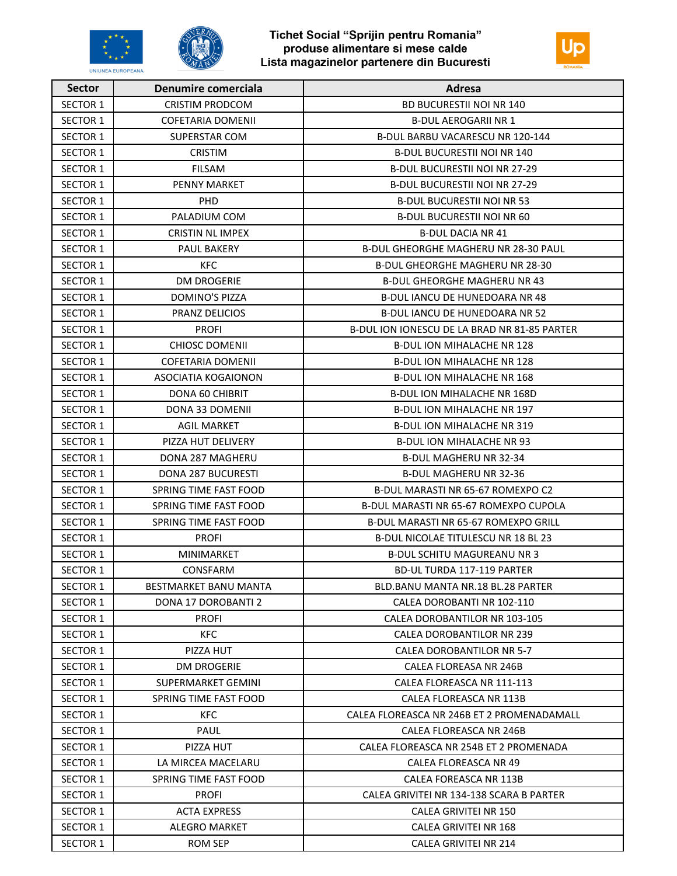



| <b>Sector</b>   | Denumire comerciala          | Adresa                                       |
|-----------------|------------------------------|----------------------------------------------|
| <b>SECTOR 1</b> | <b>CRISTIM PRODCOM</b>       | <b>BD BUCURESTII NOI NR 140</b>              |
| <b>SECTOR 1</b> | <b>COFETARIA DOMENII</b>     | <b>B-DUL AEROGARII NR 1</b>                  |
| <b>SECTOR 1</b> | <b>SUPERSTAR COM</b>         | B-DUL BARBU VACARESCU NR 120-144             |
| <b>SECTOR 1</b> | <b>CRISTIM</b>               | <b>B-DUL BUCURESTII NOI NR 140</b>           |
| SECTOR 1        | FILSAM                       | <b>B-DUL BUCURESTII NOI NR 27-29</b>         |
| <b>SECTOR 1</b> | <b>PENNY MARKET</b>          | <b>B-DUL BUCURESTII NOI NR 27-29</b>         |
| <b>SECTOR 1</b> | PHD.                         | <b>B-DUL BUCURESTII NOI NR 53</b>            |
| <b>SECTOR 1</b> | PALADIUM COM                 | <b>B-DUL BUCURESTII NOI NR 60</b>            |
| <b>SECTOR 1</b> | <b>CRISTIN NL IMPEX</b>      | <b>B-DUL DACIA NR 41</b>                     |
| SECTOR 1        | PAUL BAKERY                  | <b>B-DUL GHEORGHE MAGHERU NR 28-30 PAUL</b>  |
| <b>SECTOR 1</b> | <b>KFC</b>                   | B-DUL GHEORGHE MAGHERU NR 28-30              |
| <b>SECTOR 1</b> | <b>DM DROGERIE</b>           | <b>B-DUL GHEORGHE MAGHERU NR 43</b>          |
| <b>SECTOR 1</b> | <b>DOMINO'S PIZZA</b>        | <b>B-DUL JANCU DE HUNEDOARA NR 48</b>        |
| <b>SECTOR 1</b> | <b>PRANZ DELICIOS</b>        | <b>B-DUL IANCU DE HUNEDOARA NR 52</b>        |
| <b>SECTOR 1</b> | <b>PROFI</b>                 | B-DUL ION IONESCU DE LA BRAD NR 81-85 PARTER |
| <b>SECTOR 1</b> | <b>CHIOSC DOMENII</b>        | B-DUL ION MIHALACHE NR 128                   |
| <b>SECTOR 1</b> | <b>COFETARIA DOMENII</b>     | <b>B-DUL ION MIHALACHE NR 128</b>            |
| <b>SECTOR 1</b> | ASOCIATIA KOGAIONON          | <b>B-DUL ION MIHALACHE NR 168</b>            |
| <b>SECTOR 1</b> | DONA 60 CHIBRIT              | <b>B-DUL ION MIHALACHE NR 168D</b>           |
| <b>SECTOR 1</b> | DONA 33 DOMENII              | <b>B-DUL ION MIHALACHE NR 197</b>            |
| <b>SECTOR 1</b> | <b>AGIL MARKET</b>           | B-DUL ION MIHALACHE NR 319                   |
| <b>SECTOR 1</b> | PIZZA HUT DELIVERY           | <b>B-DUL ION MIHALACHE NR 93</b>             |
| <b>SECTOR 1</b> | DONA 287 MAGHERU             | <b>B-DUL MAGHERU NR 32-34</b>                |
| SECTOR 1        | <b>DONA 287 BUCURESTI</b>    | <b>B-DUL MAGHERU NR 32-36</b>                |
| <b>SECTOR 1</b> | SPRING TIME FAST FOOD        | B-DUL MARASTI NR 65-67 ROMEXPO C2            |
| <b>SECTOR 1</b> | SPRING TIME FAST FOOD        | B-DUL MARASTI NR 65-67 ROMEXPO CUPOLA        |
| <b>SECTOR 1</b> | SPRING TIME FAST FOOD        | B-DUL MARASTI NR 65-67 ROMEXPO GRILL         |
| <b>SECTOR 1</b> | <b>PROFI</b>                 | <b>B-DUL NICOLAE TITULESCU NR 18 BL 23</b>   |
| <b>SECTOR 1</b> | <b>MINIMARKET</b>            | <b>B-DUL SCHITU MAGUREANU NR 3</b>           |
| <b>SECTOR 1</b> | CONSFARM                     | <b>BD-UL TURDA 117-119 PARTER</b>            |
| <b>SECTOR 1</b> | <b>BESTMARKET BANU MANTA</b> | BLD.BANU MANTA NR.18 BL.28 PARTER            |
| <b>SECTOR 1</b> | DONA 17 DOROBANTI 2          | CALEA DOROBANTI NR 102-110                   |
| <b>SECTOR 1</b> | <b>PROFI</b>                 | CALEA DOROBANTILOR NR 103-105                |
| SECTOR 1        | <b>KFC</b>                   | CALEA DOROBANTILOR NR 239                    |
| SECTOR 1        | PIZZA HUT                    | CALEA DOROBANTILOR NR 5-7                    |
| SECTOR 1        | <b>DM DROGERIE</b>           | CALEA FLOREASA NR 246B                       |
| SECTOR 1        | SUPERMARKET GEMINI           | CALEA FLOREASCA NR 111-113                   |
| <b>SECTOR 1</b> | SPRING TIME FAST FOOD        | CALEA FLOREASCA NR 113B                      |
| SECTOR 1        | KFC.                         | CALEA FLOREASCA NR 246B ET 2 PROMENADAMALL   |
| <b>SECTOR 1</b> | PAUL                         | CALEA FLOREASCA NR 246B                      |
| SECTOR 1        | PIZZA HUT                    | CALEA FLOREASCA NR 254B ET 2 PROMENADA       |
| SECTOR 1        | LA MIRCEA MACELARU           | CALEA FLOREASCA NR 49                        |
| SECTOR 1        | SPRING TIME FAST FOOD        | CALEA FOREASCA NR 113B                       |
| SECTOR 1        | <b>PROFI</b>                 | CALEA GRIVITEI NR 134-138 SCARA B PARTER     |
| <b>SECTOR 1</b> | <b>ACTA EXPRESS</b>          | CALEA GRIVITEI NR 150                        |
| SECTOR 1        | <b>ALEGRO MARKET</b>         | CALEA GRIVITEI NR 168                        |
| <b>SECTOR 1</b> | <b>ROM SEP</b>               | CALEA GRIVITEI NR 214                        |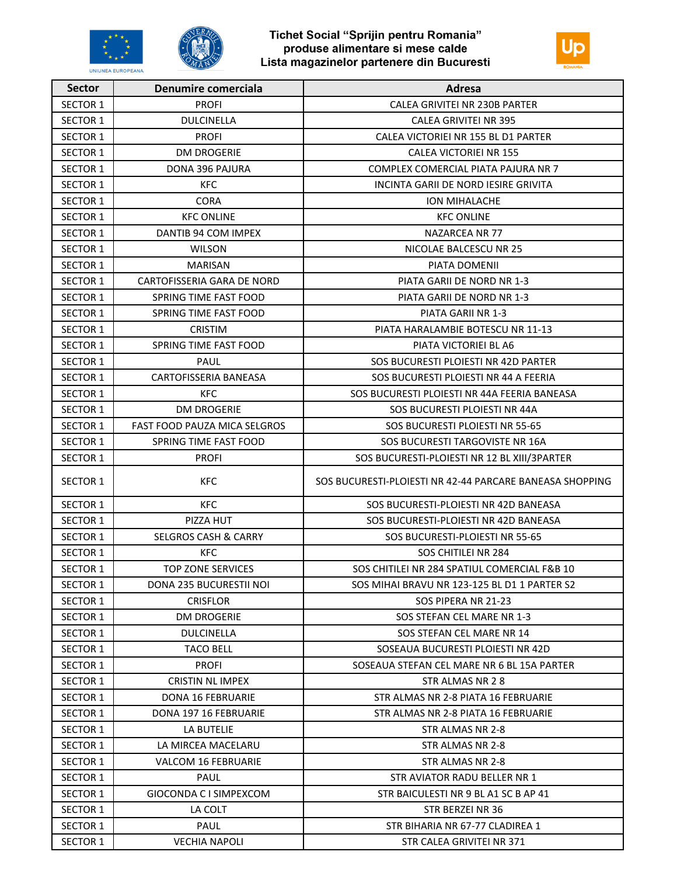



| <b>Sector</b>   | <b>Denumire comerciala</b>          | Adresa                                                   |
|-----------------|-------------------------------------|----------------------------------------------------------|
| <b>SECTOR 1</b> | <b>PROFI</b>                        | CALEA GRIVITEI NR 230B PARTER                            |
| <b>SECTOR 1</b> | <b>DULCINELLA</b>                   | CALEA GRIVITEI NR 395                                    |
| <b>SECTOR 1</b> | <b>PROFI</b>                        | CALEA VICTORIEI NR 155 BL D1 PARTER                      |
| <b>SECTOR 1</b> | <b>DM DROGERIE</b>                  | <b>CALEA VICTORIEI NR 155</b>                            |
| <b>SECTOR 1</b> | DONA 396 PAJURA                     | COMPLEX COMERCIAL PIATA PAJURA NR 7                      |
| <b>SECTOR 1</b> | <b>KFC</b>                          | INCINTA GARII DE NORD IESIRE GRIVITA                     |
| <b>SECTOR 1</b> | <b>CORA</b>                         | <b>ION MIHALACHE</b>                                     |
| <b>SECTOR 1</b> | <b>KFC ONLINE</b>                   | <b>KFC ONLINE</b>                                        |
| <b>SECTOR 1</b> | DANTIB 94 COM IMPEX                 | NAZARCEA NR 77                                           |
| <b>SECTOR 1</b> | <b>WILSON</b>                       | NICOLAE BALCESCU NR 25                                   |
| <b>SECTOR 1</b> | <b>MARISAN</b>                      | PIATA DOMENII                                            |
| <b>SECTOR 1</b> | CARTOFISSERIA GARA DE NORD          | PIATA GARII DE NORD NR 1-3                               |
| <b>SECTOR 1</b> | SPRING TIME FAST FOOD               | PIATA GARII DE NORD NR 1-3                               |
| <b>SECTOR 1</b> | SPRING TIME FAST FOOD               | PIATA GARII NR 1-3                                       |
| <b>SECTOR 1</b> | <b>CRISTIM</b>                      | PIATA HARALAMBIE BOTESCU NR 11-13                        |
| <b>SECTOR 1</b> | SPRING TIME FAST FOOD               | PIATA VICTORIEI BL A6                                    |
| <b>SECTOR 1</b> | PAUL                                | SOS BUCURESTI PLOIESTI NR 42D PARTER                     |
| <b>SECTOR 1</b> | CARTOFISSERIA BANEASA               | SOS BUCURESTI PLOIESTI NR 44 A FEERIA                    |
| <b>SECTOR 1</b> | <b>KFC</b>                          | SOS BUCURESTI PLOIESTI NR 44A FEERIA BANEASA             |
| <b>SECTOR 1</b> | <b>DM DROGERIE</b>                  | SOS BUCURESTI PLOIESTI NR 44A                            |
| <b>SECTOR 1</b> | <b>FAST FOOD PAUZA MICA SELGROS</b> | SOS BUCURESTI PLOIESTI NR 55-65                          |
| <b>SECTOR 1</b> | SPRING TIME FAST FOOD               | SOS BUCURESTI TARGOVISTE NR 16A                          |
| <b>SECTOR 1</b> | <b>PROFI</b>                        | SOS BUCURESTI-PLOIESTI NR 12 BL XIII/3PARTER             |
| <b>SECTOR 1</b> | <b>KFC</b>                          | SOS BUCURESTI-PLOIESTI NR 42-44 PARCARE BANEASA SHOPPING |
| <b>SECTOR 1</b> | <b>KFC</b>                          | SOS BUCURESTI-PLOIESTI NR 42D BANEASA                    |
| <b>SECTOR 1</b> | PIZZA HUT                           | SOS BUCURESTI-PLOIESTI NR 42D BANEASA                    |
| <b>SECTOR 1</b> | <b>SELGROS CASH &amp; CARRY</b>     | SOS BUCURESTI-PLOIESTI NR 55-65                          |
| <b>SECTOR 1</b> | <b>KFC</b>                          | SOS CHITILEI NR 284                                      |
| <b>SECTOR 1</b> | <b>TOP ZONE SERVICES</b>            | SOS CHITILEI NR 284 SPATIUL COMERCIAL F&B 10             |
| <b>SECTOR 1</b> | DONA 235 BUCURESTII NOI             | SOS MIHAI BRAVU NR 123-125 BL D1 1 PARTER S2             |
| SECTOR 1        | <b>CRISFLOR</b>                     | SOS PIPERA NR 21-23                                      |
| <b>SECTOR 1</b> | <b>DM DROGERIE</b>                  | SOS STEFAN CEL MARE NR 1-3                               |
| <b>SECTOR 1</b> | <b>DULCINELLA</b>                   | SOS STEFAN CEL MARE NR 14                                |
| SECTOR 1        | <b>TACO BELL</b>                    | SOSEAUA BUCURESTI PLOIESTI NR 42D                        |
| <b>SECTOR 1</b> | <b>PROFI</b>                        | SOSEAUA STEFAN CEL MARE NR 6 BL 15A PARTER               |
| SECTOR 1        | <b>CRISTIN NL IMPEX</b>             | STR ALMAS NR 28                                          |
| SECTOR 1        | DONA 16 FEBRUARIE                   | STR ALMAS NR 2-8 PIATA 16 FEBRUARIE                      |
| SECTOR 1        | DONA 197 16 FEBRUARIE               | STR ALMAS NR 2-8 PIATA 16 FEBRUARIE                      |
| SECTOR 1        | LA BUTELIE                          | STR ALMAS NR 2-8                                         |
| <b>SECTOR 1</b> | LA MIRCEA MACELARU                  | STR ALMAS NR 2-8                                         |
| SECTOR 1        | <b>VALCOM 16 FEBRUARIE</b>          | STR ALMAS NR 2-8                                         |
| <b>SECTOR 1</b> | PAUL                                | STR AVIATOR RADU BELLER NR 1                             |
| SECTOR 1        | GIOCONDA C I SIMPEXCOM              | STR BAICULESTI NR 9 BL A1 SC B AP 41                     |
| SECTOR 1        | LA COLT                             | STR BERZEI NR 36                                         |
| SECTOR 1        | PAUL                                | STR BIHARIA NR 67-77 CLADIREA 1                          |
| <b>SECTOR 1</b> | <b>VECHIA NAPOLI</b>                | STR CALEA GRIVITEI NR 371                                |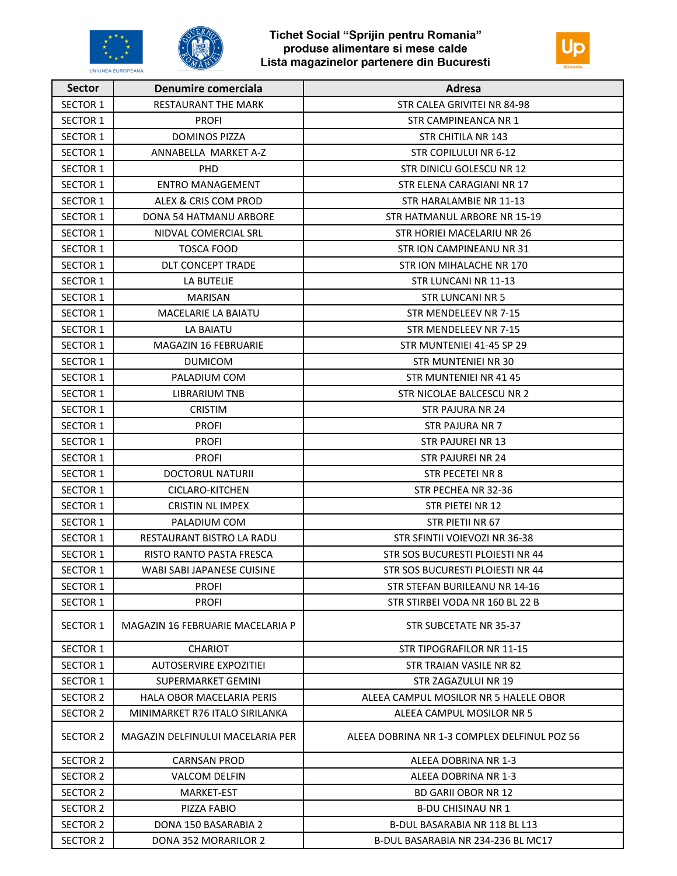





| <b>Sector</b>   | <b>Denumire comerciala</b>       | Adresa                                       |
|-----------------|----------------------------------|----------------------------------------------|
| <b>SECTOR 1</b> | <b>RESTAURANT THE MARK</b>       | STR CALEA GRIVITEI NR 84-98                  |
| <b>SECTOR 1</b> | <b>PROFI</b>                     | STR CAMPINEANCA NR 1                         |
| <b>SECTOR 1</b> | <b>DOMINOS PIZZA</b>             | STR CHITILA NR 143                           |
| <b>SECTOR 1</b> | ANNABELLA MARKET A-Z             | STR COPILULUI NR 6-12                        |
| <b>SECTOR 1</b> | <b>PHD</b>                       | STR DINICU GOLESCU NR 12                     |
| <b>SECTOR 1</b> | <b>ENTRO MANAGEMENT</b>          | STR ELENA CARAGIANI NR 17                    |
| <b>SECTOR 1</b> | ALEX & CRIS COM PROD             | STR HARALAMBIE NR 11-13                      |
| <b>SECTOR 1</b> | DONA 54 HATMANU ARBORE           | STR HATMANUL ARBORE NR 15-19                 |
| <b>SECTOR 1</b> | NIDVAL COMERCIAL SRL             | STR HORIEI MACELARIU NR 26                   |
| <b>SECTOR 1</b> | <b>TOSCA FOOD</b>                | STR ION CAMPINEANU NR 31                     |
| <b>SECTOR 1</b> | <b>DLT CONCEPT TRADE</b>         | STR ION MIHALACHE NR 170                     |
| SECTOR 1        | LA BUTELIE                       | STR LUNCANI NR 11-13                         |
| <b>SECTOR 1</b> | <b>MARISAN</b>                   | <b>STR LUNCANI NR 5</b>                      |
| <b>SECTOR 1</b> | MACELARIE LA BAIATU              | STR MENDELEEV NR 7-15                        |
| <b>SECTOR 1</b> | LA BAIATU                        | STR MENDELEEV NR 7-15                        |
| <b>SECTOR 1</b> | MAGAZIN 16 FEBRUARIE             | STR MUNTENIEI 41-45 SP 29                    |
| <b>SECTOR 1</b> | <b>DUMICOM</b>                   | STR MUNTENIEI NR 30                          |
| <b>SECTOR 1</b> | PALADIUM COM                     | STR MUNTENIEI NR 41 45                       |
| SECTOR 1        | <b>LIBRARIUM TNB</b>             | STR NICOLAE BALCESCU NR 2                    |
| <b>SECTOR 1</b> | <b>CRISTIM</b>                   | <b>STR PAJURA NR 24</b>                      |
| <b>SECTOR 1</b> | <b>PROFI</b>                     | <b>STR PAJURA NR 7</b>                       |
| <b>SECTOR 1</b> | <b>PROFI</b>                     | <b>STR PAJUREI NR 13</b>                     |
| <b>SECTOR 1</b> | <b>PROFI</b>                     | <b>STR PAJUREI NR 24</b>                     |
| <b>SECTOR 1</b> | <b>DOCTORUL NATURII</b>          | STR PECETEI NR 8                             |
| <b>SECTOR 1</b> | CICLARO-KITCHEN                  | STR PECHEA NR 32-36                          |
| <b>SECTOR 1</b> | <b>CRISTIN NL IMPEX</b>          | STR PIETEI NR 12                             |
| <b>SECTOR 1</b> | PALADIUM COM                     | STR PIETII NR 67                             |
| <b>SECTOR 1</b> | RESTAURANT BISTRO LA RADU        | STR SFINTII VOIEVOZI NR 36-38                |
| <b>SECTOR 1</b> | RISTO RANTO PASTA FRESCA         | STR SOS BUCURESTI PLOIESTI NR 44             |
| <b>SECTOR 1</b> | WABI SABI JAPANESE CUISINE       | STR SOS BUCURESTI PLOIESTI NR 44             |
| <b>SECTOR 1</b> | <b>PROFI</b>                     | STR STEFAN BURILEANU NR 14-16                |
| SECTOR 1        | <b>PROFI</b>                     | STR STIRBEI VODA NR 160 BL 22 B              |
| SECTOR 1        | MAGAZIN 16 FEBRUARIE MACELARIA P | <b>STR SUBCETATE NR 35-37</b>                |
| <b>SECTOR 1</b> | <b>CHARIOT</b>                   | STR TIPOGRAFILOR NR 11-15                    |
| <b>SECTOR 1</b> | <b>AUTOSERVIRE EXPOZITIEI</b>    | STR TRAIAN VASILE NR 82                      |
| <b>SECTOR 1</b> | SUPERMARKET GEMINI               | STR ZAGAZULUI NR 19                          |
| SECTOR 2        | HALA OBOR MACELARIA PERIS        | ALEEA CAMPUL MOSILOR NR 5 HALELE OBOR        |
| SECTOR 2        | MINIMARKET R76 ITALO SIRILANKA   | ALEEA CAMPUL MOSILOR NR 5                    |
| <b>SECTOR 2</b> | MAGAZIN DELFINULUI MACELARIA PER | ALEEA DOBRINA NR 1-3 COMPLEX DELFINUL POZ 56 |
| SECTOR 2        | <b>CARNSAN PROD</b>              | ALEEA DOBRINA NR 1-3                         |
| SECTOR 2        | VALCOM DELFIN                    | ALEEA DOBRINA NR 1-3                         |
| SECTOR 2        | MARKET-EST                       | <b>BD GARII OBOR NR 12</b>                   |
| SECTOR 2        | PIZZA FABIO                      | <b>B-DU CHISINAU NR 1</b>                    |
| SECTOR 2        | DONA 150 BASARABIA 2             | B-DUL BASARABIA NR 118 BL L13                |
| SECTOR 2        | DONA 352 MORARILOR 2             | B-DUL BASARABIA NR 234-236 BL MC17           |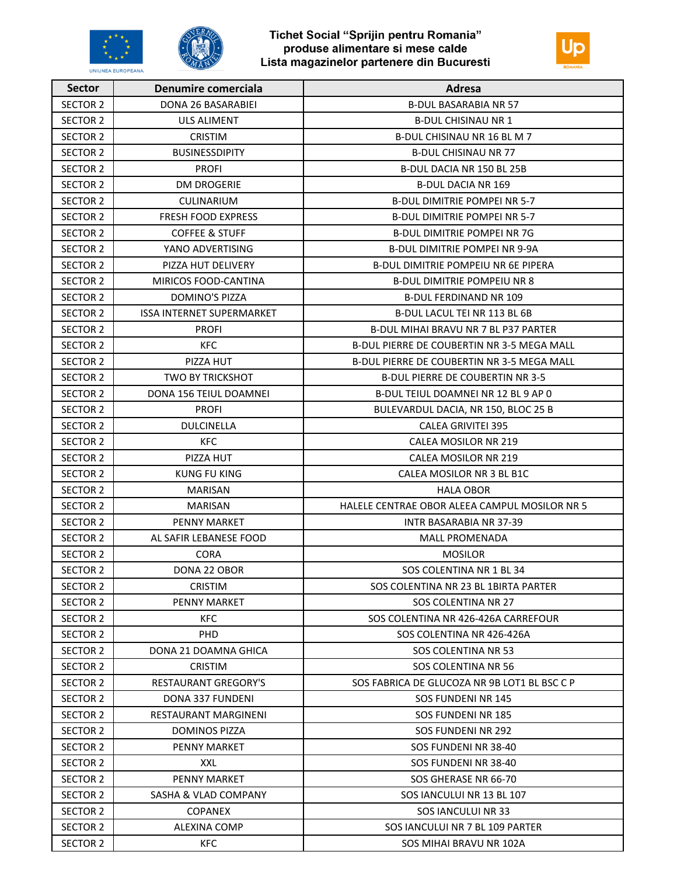



| <b>Sector</b>   | <b>Denumire comerciala</b>       | Adresa                                            |
|-----------------|----------------------------------|---------------------------------------------------|
| <b>SECTOR 2</b> | DONA 26 BASARABIEI               | <b>B-DUL BASARABIA NR 57</b>                      |
| <b>SECTOR 2</b> | ULS ALIMENT                      | <b>B-DUL CHISINAU NR 1</b>                        |
| SECTOR 2        | <b>CRISTIM</b>                   | B-DUL CHISINAU NR 16 BL M 7                       |
| <b>SECTOR 2</b> | <b>BUSINESSDIPITY</b>            | <b>B-DUL CHISINAU NR 77</b>                       |
| SECTOR 2        | <b>PROFI</b>                     | B-DUL DACIA NR 150 BL 25B                         |
| SECTOR 2        | <b>DM DROGERIE</b>               | <b>B-DUL DACIA NR 169</b>                         |
| <b>SECTOR 2</b> | CULINARIUM                       | <b>B-DUL DIMITRIE POMPEI NR 5-7</b>               |
| <b>SECTOR 2</b> | <b>FRESH FOOD EXPRESS</b>        | <b>B-DUL DIMITRIE POMPEI NR 5-7</b>               |
| SECTOR 2        | <b>COFFEE &amp; STUFF</b>        | <b>B-DUL DIMITRIE POMPEI NR 7G</b>                |
| SECTOR 2        | YANO ADVERTISING                 | <b>B-DUL DIMITRIE POMPEI NR 9-9A</b>              |
| <b>SECTOR 2</b> | PIZZA HUT DELIVERY               | <b>B-DUL DIMITRIE POMPEIU NR 6E PIPERA</b>        |
| <b>SECTOR 2</b> | MIRICOS FOOD-CANTINA             | <b>B-DUL DIMITRIE POMPEIU NR 8</b>                |
| <b>SECTOR 2</b> | <b>DOMINO'S PIZZA</b>            | <b>B-DUL FERDINAND NR 109</b>                     |
| <b>SECTOR 2</b> | <b>ISSA INTERNET SUPERMARKET</b> | B-DUL LACUL TEI NR 113 BL 6B                      |
| <b>SECTOR 2</b> | <b>PROFI</b>                     | <b>B-DUL MIHAI BRAVU NR 7 BL P37 PARTER</b>       |
| <b>SECTOR 2</b> | <b>KFC</b>                       | <b>B-DUL PIERRE DE COUBERTIN NR 3-5 MEGA MALL</b> |
| <b>SECTOR 2</b> | PIZZA HUT                        | <b>B-DUL PIERRE DE COUBERTIN NR 3-5 MEGA MALL</b> |
| SECTOR 2        | <b>TWO BY TRICKSHOT</b>          | <b>B-DUL PIERRE DE COUBERTIN NR 3-5</b>           |
| <b>SECTOR 2</b> | DONA 156 TEIUL DOAMNEI           | B-DUL TEIUL DOAMNEI NR 12 BL 9 AP 0               |
| <b>SECTOR 2</b> | <b>PROFI</b>                     | BULEVARDUL DACIA, NR 150, BLOC 25 B               |
| <b>SECTOR 2</b> | <b>DULCINELLA</b>                | <b>CALEA GRIVITEI 395</b>                         |
| SECTOR 2        | KFC                              | CALEA MOSILOR NR 219                              |
| SECTOR 2        | PIZZA HUT                        | CALEA MOSILOR NR 219                              |
| SECTOR 2        | <b>KUNG FU KING</b>              | CALEA MOSILOR NR 3 BL B1C                         |
| <b>SECTOR 2</b> | <b>MARISAN</b>                   | <b>HALA OBOR</b>                                  |
| <b>SECTOR 2</b> | <b>MARISAN</b>                   | HALELE CENTRAE OBOR ALEEA CAMPUL MOSILOR NR 5     |
| SECTOR 2        | <b>PENNY MARKET</b>              | <b>INTR BASARABIA NR 37-39</b>                    |
| <b>SECTOR 2</b> | AL SAFIR LEBANESE FOOD           | <b>MALL PROMENADA</b>                             |
| SECTOR 2        | <b>CORA</b>                      | <b>MOSILOR</b>                                    |
| <b>SECTOR 2</b> | DONA 22 OBOR                     | SOS COLENTINA NR 1 BL 34                          |
| SECTOR 2        | <b>CRISTIM</b>                   | SOS COLENTINA NR 23 BL 1BIRTA PARTER              |
| SECTOR 2        | <b>PENNY MARKET</b>              | SOS COLENTINA NR 27                               |
| <b>SECTOR 2</b> | <b>KFC</b>                       | SOS COLENTINA NR 426-426A CARREFOUR               |
| SECTOR 2        | PHD.                             | SOS COLENTINA NR 426-426A                         |
| SECTOR 2        | DONA 21 DOAMNA GHICA             | <b>SOS COLENTINA NR 53</b>                        |
| SECTOR 2        | <b>CRISTIM</b>                   | SOS COLENTINA NR 56                               |
| SECTOR 2        | <b>RESTAURANT GREGORY'S</b>      | SOS FABRICA DE GLUCOZA NR 9B LOT1 BL BSC C P      |
| SECTOR 2        | DONA 337 FUNDENI                 | SOS FUNDENI NR 145                                |
| SECTOR 2        | RESTAURANT MARGINENI             | SOS FUNDENI NR 185                                |
| SECTOR 2        | <b>DOMINOS PIZZA</b>             | SOS FUNDENI NR 292                                |
| SECTOR 2        | <b>PENNY MARKET</b>              | SOS FUNDENI NR 38-40                              |
| <b>SECTOR 2</b> | <b>XXL</b>                       | SOS FUNDENI NR 38-40                              |
| SECTOR 2        | <b>PENNY MARKET</b>              | SOS GHERASE NR 66-70                              |
| SECTOR 2        | <b>SASHA &amp; VLAD COMPANY</b>  | SOS IANCULUI NR 13 BL 107                         |
| <b>SECTOR 2</b> | <b>COPANEX</b>                   | <b>SOS IANCULUI NR 33</b>                         |
| SECTOR 2        | ALEXINA COMP                     | SOS IANCULUI NR 7 BL 109 PARTER                   |
| SECTOR 2        | KFC.                             | SOS MIHAI BRAVU NR 102A                           |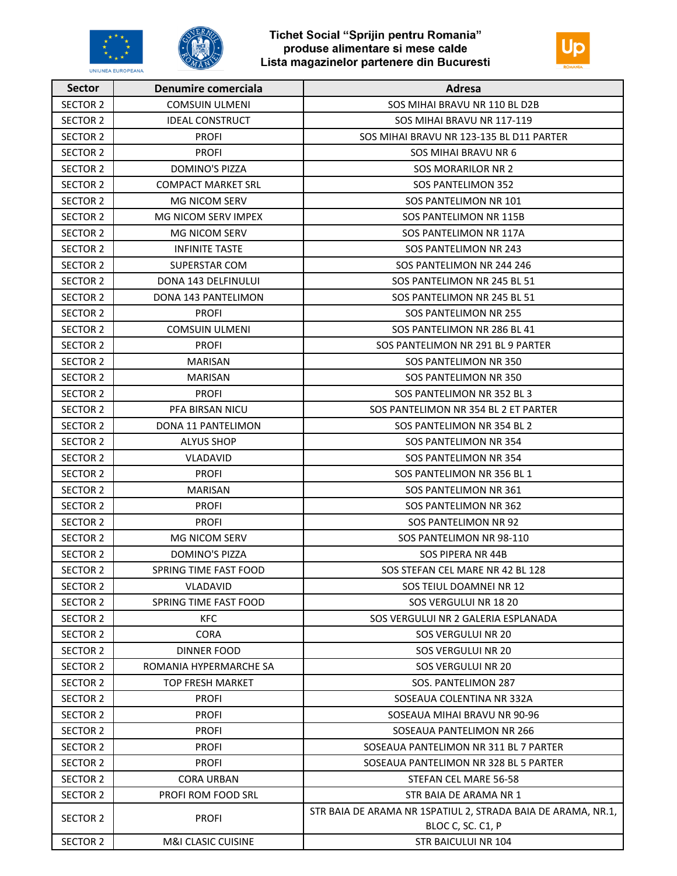





| <b>Sector</b>   | <b>Denumire comerciala</b>    | Adresa                                                                            |
|-----------------|-------------------------------|-----------------------------------------------------------------------------------|
| <b>SECTOR 2</b> | <b>COMSUIN ULMENI</b>         | SOS MIHAI BRAVU NR 110 BL D2B                                                     |
| <b>SECTOR 2</b> | <b>IDEAL CONSTRUCT</b>        | SOS MIHAI BRAVU NR 117-119                                                        |
| <b>SECTOR 2</b> | <b>PROFI</b>                  | SOS MIHAI BRAVU NR 123-135 BL D11 PARTER                                          |
| SECTOR 2        | <b>PROFI</b>                  | <b>SOS MIHAI BRAVU NR 6</b>                                                       |
| <b>SECTOR 2</b> | <b>DOMINO'S PIZZA</b>         | <b>SOS MORARILOR NR 2</b>                                                         |
| <b>SECTOR 2</b> | <b>COMPACT MARKET SRL</b>     | <b>SOS PANTELIMON 352</b>                                                         |
| SECTOR 2        | <b>MG NICOM SERV</b>          | SOS PANTELIMON NR 101                                                             |
| SECTOR 2        | MG NICOM SERV IMPEX           | SOS PANTELIMON NR 115B                                                            |
| <b>SECTOR 2</b> | <b>MG NICOM SERV</b>          | SOS PANTELIMON NR 117A                                                            |
| <b>SECTOR 2</b> | <b>INFINITE TASTE</b>         | SOS PANTELIMON NR 243                                                             |
| <b>SECTOR 2</b> | SUPERSTAR COM                 | SOS PANTELIMON NR 244 246                                                         |
| <b>SECTOR 2</b> | <b>DONA 143 DELFINULUI</b>    | SOS PANTELIMON NR 245 BL 51                                                       |
| <b>SECTOR 2</b> | DONA 143 PANTELIMON           | SOS PANTELIMON NR 245 BL 51                                                       |
| <b>SECTOR 2</b> | <b>PROFI</b>                  | SOS PANTELIMON NR 255                                                             |
| <b>SECTOR 2</b> | <b>COMSUIN ULMENI</b>         | SOS PANTELIMON NR 286 BL 41                                                       |
| <b>SECTOR 2</b> | <b>PROFI</b>                  | SOS PANTELIMON NR 291 BL 9 PARTER                                                 |
| <b>SECTOR 2</b> | <b>MARISAN</b>                | SOS PANTELIMON NR 350                                                             |
| SECTOR 2        | MARISAN                       | SOS PANTELIMON NR 350                                                             |
| <b>SECTOR 2</b> | <b>PROFI</b>                  | SOS PANTELIMON NR 352 BL 3                                                        |
| <b>SECTOR 2</b> | PFA BIRSAN NICU               | SOS PANTELIMON NR 354 BL 2 ET PARTER                                              |
| <b>SECTOR 2</b> | DONA 11 PANTELIMON            | SOS PANTELIMON NR 354 BL 2                                                        |
| <b>SECTOR 2</b> | <b>ALYUS SHOP</b>             | SOS PANTELIMON NR 354                                                             |
| <b>SECTOR 2</b> | <b>VLADAVID</b>               | SOS PANTELIMON NR 354                                                             |
| <b>SECTOR 2</b> | <b>PROFI</b>                  | SOS PANTELIMON NR 356 BL 1                                                        |
| <b>SECTOR 2</b> | <b>MARISAN</b>                | SOS PANTELIMON NR 361                                                             |
| SECTOR 2        | <b>PROFI</b>                  | SOS PANTELIMON NR 362                                                             |
| <b>SECTOR 2</b> | <b>PROFI</b>                  | SOS PANTELIMON NR 92                                                              |
| <b>SECTOR 2</b> | <b>MG NICOM SERV</b>          | SOS PANTELIMON NR 98-110                                                          |
| <b>SECTOR 2</b> | <b>DOMINO'S PIZZA</b>         | <b>SOS PIPERA NR 44B</b>                                                          |
| <b>SECTOR 2</b> | SPRING TIME FAST FOOD         | SOS STEFAN CEL MARE NR 42 BL 128                                                  |
| <b>SECTOR 2</b> | VLADAVID                      | SOS TEIUL DOAMNEI NR 12                                                           |
| SECTOR 2        | SPRING TIME FAST FOOD         | SOS VERGULUI NR 18 20                                                             |
| SECTOR 2        | KFC                           | SOS VERGULUI NR 2 GALERIA ESPLANADA                                               |
| <b>SECTOR 2</b> | <b>CORA</b>                   | <b>SOS VERGULUI NR 20</b>                                                         |
| <b>SECTOR 2</b> | <b>DINNER FOOD</b>            | SOS VERGULUI NR 20                                                                |
| <b>SECTOR 2</b> | ROMANIA HYPERMARCHE SA        | SOS VERGULUI NR 20                                                                |
| SECTOR 2        | <b>TOP FRESH MARKET</b>       | SOS. PANTELIMON 287                                                               |
| <b>SECTOR 2</b> | <b>PROFI</b>                  | SOSEAUA COLENTINA NR 332A                                                         |
| SECTOR 2        | <b>PROFI</b>                  | SOSEAUA MIHAI BRAVU NR 90-96                                                      |
| <b>SECTOR 2</b> | <b>PROFI</b>                  | SOSEAUA PANTELIMON NR 266                                                         |
| <b>SECTOR 2</b> | <b>PROFI</b>                  | SOSEAUA PANTELIMON NR 311 BL 7 PARTER                                             |
| SECTOR 2        | <b>PROFI</b>                  | SOSEAUA PANTELIMON NR 328 BL 5 PARTER                                             |
| <b>SECTOR 2</b> | <b>CORA URBAN</b>             | STEFAN CEL MARE 56-58                                                             |
| <b>SECTOR 2</b> | PROFI ROM FOOD SRL            | STR BAIA DE ARAMA NR 1                                                            |
| <b>SECTOR 2</b> | <b>PROFI</b>                  | STR BAIA DE ARAMA NR 1SPATIUL 2, STRADA BAIA DE ARAMA, NR.1,<br>BLOC C, SC. C1, P |
| <b>SECTOR 2</b> | <b>M&amp;I CLASIC CUISINE</b> | STR BAICULUI NR 104                                                               |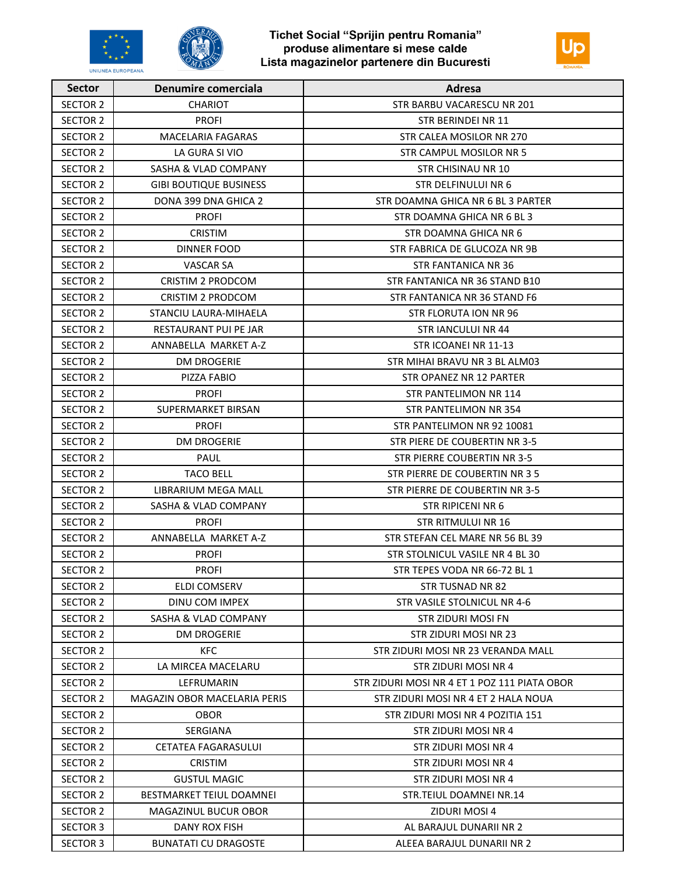



| <b>Sector</b>   | <b>Denumire comerciala</b>      | Adresa                                       |
|-----------------|---------------------------------|----------------------------------------------|
| SECTOR 2        | <b>CHARIOT</b>                  | STR BARBU VACARESCU NR 201                   |
| <b>SECTOR 2</b> | <b>PROFI</b>                    | STR BERINDEI NR 11                           |
| <b>SECTOR 2</b> | <b>MACELARIA FAGARAS</b>        | STR CALEA MOSILOR NR 270                     |
| SECTOR 2        | LA GURA SI VIO                  | STR CAMPUL MOSILOR NR 5                      |
| SECTOR 2        | <b>SASHA &amp; VLAD COMPANY</b> | STR CHISINAU NR 10                           |
| SECTOR 2        | <b>GIBI BOUTIQUE BUSINESS</b>   | STR DELFINULUI NR 6                          |
| <b>SECTOR 2</b> | DONA 399 DNA GHICA 2            | STR DOAMNA GHICA NR 6 BL 3 PARTER            |
| SECTOR 2        | <b>PROFI</b>                    | STR DOAMNA GHICA NR 6 BL 3                   |
| SECTOR 2        | <b>CRISTIM</b>                  | STR DOAMNA GHICA NR 6                        |
| SECTOR 2        | <b>DINNER FOOD</b>              | STR FABRICA DE GLUCOZA NR 9B                 |
| <b>SECTOR 2</b> | <b>VASCAR SA</b>                | <b>STR FANTANICA NR 36</b>                   |
| <b>SECTOR 2</b> | <b>CRISTIM 2 PRODCOM</b>        | STR FANTANICA NR 36 STAND B10                |
| SECTOR 2        | CRISTIM 2 PRODCOM               | STR FANTANICA NR 36 STAND F6                 |
| SECTOR 2        | STANCIU LAURA-MIHAELA           | <b>STR FLORUTA ION NR 96</b>                 |
| SECTOR 2        | RESTAURANT PUI PE JAR           | STR JANCULUI NR 44                           |
| <b>SECTOR 2</b> | ANNABELLA MARKET A-Z            | STR ICOANEI NR 11-13                         |
| <b>SECTOR 2</b> | <b>DM DROGERIE</b>              | STR MIHAI BRAVU NR 3 BL ALM03                |
| <b>SECTOR 2</b> | PIZZA FABIO                     | <b>STR OPANEZ NR 12 PARTER</b>               |
| <b>SECTOR 2</b> | <b>PROFI</b>                    | STR PANTELIMON NR 114                        |
| SECTOR 2        | SUPERMARKET BIRSAN              | STR PANTELIMON NR 354                        |
| <b>SECTOR 2</b> | <b>PROFI</b>                    | STR PANTELIMON NR 92 10081                   |
| SECTOR 2        | <b>DM DROGERIE</b>              | STR PIERE DE COUBERTIN NR 3-5                |
| SECTOR 2        | PAUL                            | STR PIERRE COUBERTIN NR 3-5                  |
| <b>SECTOR 2</b> | <b>TACO BELL</b>                | STR PIERRE DE COUBERTIN NR 3 5               |
| SECTOR 2        | LIBRARIUM MEGA MALL             | STR PIERRE DE COUBERTIN NR 3-5               |
| SECTOR 2        | <b>SASHA &amp; VLAD COMPANY</b> | <b>STR RIPICENI NR 6</b>                     |
| SECTOR 2        | <b>PROFI</b>                    | STR RITMULUI NR 16                           |
| SECTOR 2        | ANNABELLA MARKET A-Z            | STR STEFAN CEL MARE NR 56 BL 39              |
| <b>SECTOR 2</b> | <b>PROFI</b>                    | STR STOLNICUL VASILE NR 4 BL 30              |
| <b>SECTOR 2</b> | <b>PROFI</b>                    | STR TEPES VODA NR 66-72 BL 1                 |
| <b>SECTOR 2</b> | <b>ELDI COMSERV</b>             | STR TUSNAD NR 82                             |
| SECTOR 2        | DINU COM IMPEX                  | STR VASILE STOLNICUL NR 4-6                  |
| SECTOR 2        | SASHA & VLAD COMPANY            | <b>STR ZIDURI MOSI FN</b>                    |
| SECTOR 2        | DM DROGERIE                     | STR ZIDURI MOSI NR 23                        |
| SECTOR 2        | <b>KFC</b>                      | STR ZIDURI MOSI NR 23 VERANDA MALL           |
| SECTOR 2        | LA MIRCEA MACELARU              | STR ZIDURI MOSI NR 4                         |
| SECTOR 2        | LEFRUMARIN                      | STR ZIDURI MOSI NR 4 ET 1 POZ 111 PIATA OBOR |
| SECTOR 2        | MAGAZIN OBOR MACELARIA PERIS    | STR ZIDURI MOSI NR 4 ET 2 HALA NOUA          |
| <b>SECTOR 2</b> | <b>OBOR</b>                     | STR ZIDURI MOSI NR 4 POZITIA 151             |
| SECTOR 2        | SERGIANA                        | STR ZIDURI MOSI NR 4                         |
| SECTOR 2        | CETATEA FAGARASULUI             | STR ZIDURI MOSI NR 4                         |
| SECTOR 2        | <b>CRISTIM</b>                  | STR ZIDURI MOSI NR 4                         |
| SECTOR 2        | <b>GUSTUL MAGIC</b>             | STR ZIDURI MOSI NR 4                         |
| SECTOR 2        | BESTMARKET TEIUL DOAMNEI        | STR.TEIUL DOAMNEI NR.14                      |
| SECTOR 2        | MAGAZINUL BUCUR OBOR            | ZIDURI MOSI 4                                |
| SECTOR 3        | DANY ROX FISH                   | AL BARAJUL DUNARII NR 2                      |
| <b>SECTOR 3</b> | <b>BUNATATI CU DRAGOSTE</b>     | ALEEA BARAJUL DUNARII NR 2                   |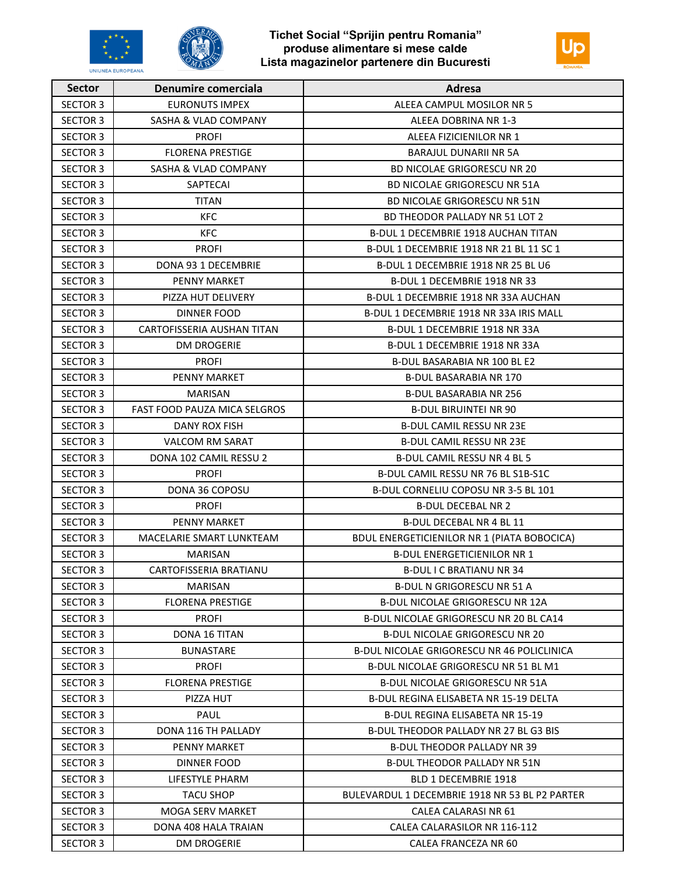





| <b>Sector</b>   | Denumire comerciala                 | <b>Adresa</b>                                     |
|-----------------|-------------------------------------|---------------------------------------------------|
| <b>SECTOR 3</b> | <b>EURONUTS IMPEX</b>               | ALEEA CAMPUL MOSILOR NR 5                         |
| <b>SECTOR 3</b> | SASHA & VLAD COMPANY                | ALEEA DOBRINA NR 1-3                              |
| <b>SECTOR 3</b> | <b>PROFI</b>                        | ALEEA FIZICIENILOR NR 1                           |
| <b>SECTOR 3</b> | <b>FLORENA PRESTIGE</b>             | <b>BARAJUL DUNARII NR 5A</b>                      |
| <b>SECTOR 3</b> | <b>SASHA &amp; VLAD COMPANY</b>     | <b>BD NICOLAE GRIGORESCU NR 20</b>                |
| <b>SECTOR 3</b> | SAPTECAI                            | <b>BD NICOLAE GRIGORESCU NR 51A</b>               |
| <b>SECTOR 3</b> | <b>TITAN</b>                        | BD NICOLAE GRIGORESCU NR 51N                      |
| <b>SECTOR 3</b> | KFC                                 | <b>BD THEODOR PALLADY NR 51 LOT 2</b>             |
| <b>SECTOR 3</b> | <b>KFC</b>                          | <b>B-DUL 1 DECEMBRIE 1918 AUCHAN TITAN</b>        |
| <b>SECTOR 3</b> | <b>PROFI</b>                        | B-DUL 1 DECEMBRIE 1918 NR 21 BL 11 SC 1           |
| <b>SECTOR 3</b> | DONA 93 1 DECEMBRIE                 | B-DUL 1 DECEMBRIE 1918 NR 25 BL U6                |
| <b>SECTOR 3</b> | <b>PENNY MARKET</b>                 | B-DUL 1 DECEMBRIE 1918 NR 33                      |
| <b>SECTOR 3</b> | PIZZA HUT DELIVERY                  | B-DUL 1 DECEMBRIE 1918 NR 33A AUCHAN              |
| <b>SECTOR 3</b> | <b>DINNER FOOD</b>                  | B-DUL 1 DECEMBRIE 1918 NR 33A IRIS MALL           |
| <b>SECTOR 3</b> | CARTOFISSERIA AUSHAN TITAN          | B-DUL 1 DECEMBRIE 1918 NR 33A                     |
| <b>SECTOR 3</b> | <b>DM DROGERIE</b>                  | B-DUL 1 DECEMBRIE 1918 NR 33A                     |
| <b>SECTOR 3</b> | <b>PROFI</b>                        | <b>B-DUL BASARABIA NR 100 BL E2</b>               |
| <b>SECTOR 3</b> | <b>PENNY MARKET</b>                 | <b>B-DUL BASARABIA NR 170</b>                     |
| <b>SECTOR 3</b> | <b>MARISAN</b>                      | <b>B-DUL BASARABIA NR 256</b>                     |
| <b>SECTOR 3</b> | <b>FAST FOOD PAUZA MICA SELGROS</b> | <b>B-DUL BIRUINTEI NR 90</b>                      |
| <b>SECTOR 3</b> | DANY ROX FISH                       | <b>B-DUL CAMIL RESSU NR 23E</b>                   |
| <b>SECTOR 3</b> | <b>VALCOM RM SARAT</b>              | <b>B-DUL CAMIL RESSU NR 23E</b>                   |
| <b>SECTOR 3</b> | DONA 102 CAMIL RESSU 2              | B-DUL CAMIL RESSU NR 4 BL 5                       |
| <b>SECTOR 3</b> | <b>PROFI</b>                        | B-DUL CAMIL RESSU NR 76 BL S1B-S1C                |
| <b>SECTOR 3</b> | DONA 36 COPOSU                      | B-DUL CORNELIU COPOSU NR 3-5 BL 101               |
| <b>SECTOR 3</b> | <b>PROFI</b>                        | <b>B-DUL DECEBAL NR 2</b>                         |
| <b>SECTOR 3</b> | <b>PENNY MARKET</b>                 | <b>B-DUL DECEBAL NR 4 BL 11</b>                   |
| <b>SECTOR 3</b> | MACELARIE SMART LUNKTEAM            | BDUL ENERGETICIENILOR NR 1 (PIATA BOBOCICA)       |
| <b>SECTOR 3</b> | <b>MARISAN</b>                      | <b>B-DUL ENERGETICIENILOR NR 1</b>                |
| <b>SECTOR 3</b> | CARTOFISSERIA BRATIANU              | <b>B-DUL I C BRATIANU NR 34</b>                   |
| <b>SECTOR 3</b> | <b>MARISAN</b>                      | <b>B-DUL N GRIGORESCU NR 51 A</b>                 |
| SECTOR 3        | <b>FLORENA PRESTIGE</b>             | B-DUL NICOLAE GRIGORESCU NR 12A                   |
| <b>SECTOR 3</b> | <b>PROFI</b>                        | B-DUL NICOLAE GRIGORESCU NR 20 BL CA14            |
| <b>SECTOR 3</b> | DONA 16 TITAN                       | B-DUL NICOLAE GRIGORESCU NR 20                    |
| <b>SECTOR 3</b> | <b>BUNASTARE</b>                    | <b>B-DUL NICOLAE GRIGORESCU NR 46 POLICLINICA</b> |
| <b>SECTOR 3</b> | <b>PROFI</b>                        | B-DUL NICOLAE GRIGORESCU NR 51 BL M1              |
| <b>SECTOR 3</b> | <b>FLORENA PRESTIGE</b>             | B-DUL NICOLAE GRIGORESCU NR 51A                   |
| SECTOR 3        | PIZZA HUT                           | B-DUL REGINA ELISABETA NR 15-19 DELTA             |
| <b>SECTOR 3</b> | PAUL                                | B-DUL REGINA ELISABETA NR 15-19                   |
| <b>SECTOR 3</b> | DONA 116 TH PALLADY                 | B-DUL THEODOR PALLADY NR 27 BL G3 BIS             |
| <b>SECTOR 3</b> | <b>PENNY MARKET</b>                 | <b>B-DUL THEODOR PALLADY NR 39</b>                |
| <b>SECTOR 3</b> | <b>DINNER FOOD</b>                  | B-DUL THEODOR PALLADY NR 51N                      |
| <b>SECTOR 3</b> | LIFESTYLE PHARM                     | BLD 1 DECEMBRIE 1918                              |
| SECTOR 3        | <b>TACU SHOP</b>                    | BULEVARDUL 1 DECEMBRIE 1918 NR 53 BL P2 PARTER    |
| <b>SECTOR 3</b> | <b>MOGA SERV MARKET</b>             | CALEA CALARASI NR 61                              |
| <b>SECTOR 3</b> | DONA 408 HALA TRAIAN                | CALEA CALARASILOR NR 116-112                      |
| <b>SECTOR 3</b> | <b>DM DROGERIE</b>                  | CALEA FRANCEZA NR 60                              |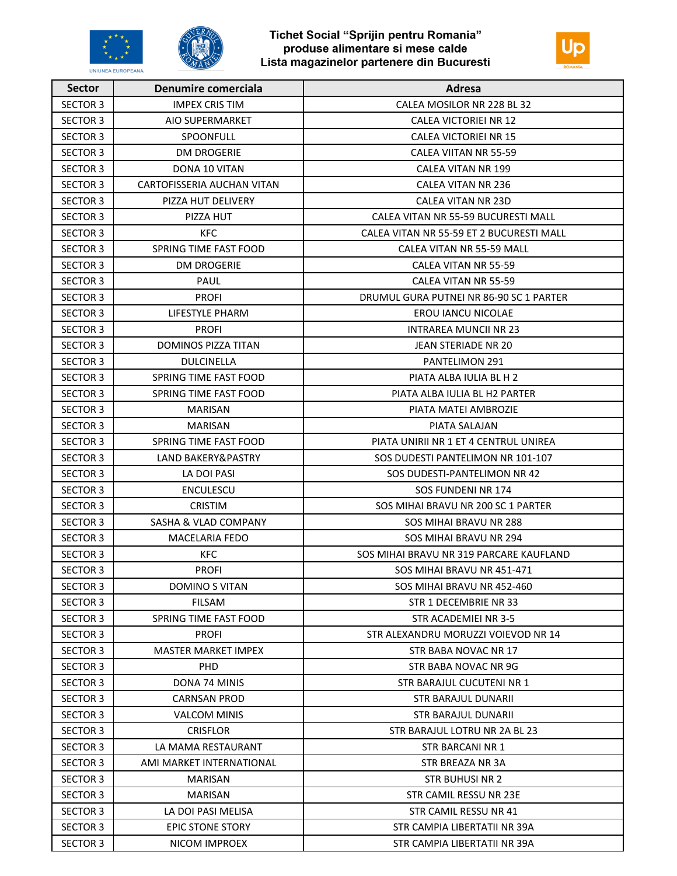





| <b>Sector</b>   | <b>Denumire comerciala</b> | Adresa                                   |
|-----------------|----------------------------|------------------------------------------|
| <b>SECTOR 3</b> | <b>IMPEX CRIS TIM</b>      | CALEA MOSILOR NR 228 BL 32               |
| <b>SECTOR 3</b> | AIO SUPERMARKET            | CALEA VICTORIEI NR 12                    |
| <b>SECTOR 3</b> | <b>SPOONFULL</b>           | CALEA VICTORIEI NR 15                    |
| <b>SECTOR 3</b> | <b>DM DROGERIE</b>         | <b>CALEA VIITAN NR 55-59</b>             |
| <b>SECTOR 3</b> | DONA 10 VITAN              | <b>CALEA VITAN NR 199</b>                |
| <b>SECTOR 3</b> | CARTOFISSERIA AUCHAN VITAN | CALEA VITAN NR 236                       |
| <b>SECTOR 3</b> | PIZZA HUT DELIVERY         | <b>CALEA VITAN NR 23D</b>                |
| <b>SECTOR 3</b> | PIZZA HUT                  | CALEA VITAN NR 55-59 BUCURESTI MALL      |
| <b>SECTOR 3</b> | KFC.                       | CALEA VITAN NR 55-59 ET 2 BUCURESTI MALL |
| <b>SECTOR 3</b> | SPRING TIME FAST FOOD      | CALEA VITAN NR 55-59 MALL                |
| <b>SECTOR 3</b> | <b>DM DROGERIE</b>         | CALEA VITAN NR 55-59                     |
| <b>SECTOR 3</b> | PAUL                       | CALEA VITAN NR 55-59                     |
| <b>SECTOR 3</b> | <b>PROFI</b>               | DRUMUL GURA PUTNEI NR 86-90 SC 1 PARTER  |
| <b>SECTOR 3</b> | LIFESTYLE PHARM            | <b>EROU IANCU NICOLAE</b>                |
| <b>SECTOR 3</b> | <b>PROFI</b>               | <b>INTRAREA MUNCII NR 23</b>             |
| <b>SECTOR 3</b> | <b>DOMINOS PIZZA TITAN</b> | JEAN STERIADE NR 20                      |
| <b>SECTOR 3</b> | <b>DULCINELLA</b>          | <b>PANTELIMON 291</b>                    |
| <b>SECTOR 3</b> | SPRING TIME FAST FOOD      | PIATA ALBA IULIA BL H 2                  |
| <b>SECTOR 3</b> | SPRING TIME FAST FOOD      | PIATA ALBA IULIA BL H2 PARTER            |
| <b>SECTOR 3</b> | <b>MARISAN</b>             | PIATA MATEI AMBROZIE                     |
| <b>SECTOR 3</b> | <b>MARISAN</b>             | PIATA SALAJAN                            |
| <b>SECTOR 3</b> | SPRING TIME FAST FOOD      | PIATA UNIRII NR 1 ET 4 CENTRUL UNIREA    |
| <b>SECTOR 3</b> | LAND BAKERY&PASTRY         | SOS DUDESTI PANTELIMON NR 101-107        |
| <b>SECTOR 3</b> | LA DOI PASI                | SOS DUDESTI-PANTELIMON NR 42             |
| <b>SECTOR 3</b> | <b>ENCULESCU</b>           | SOS FUNDENI NR 174                       |
| <b>SECTOR 3</b> | <b>CRISTIM</b>             | SOS MIHAI BRAVU NR 200 SC 1 PARTER       |
| <b>SECTOR 3</b> | SASHA & VLAD COMPANY       | SOS MIHAI BRAVU NR 288                   |
| <b>SECTOR 3</b> | <b>MACELARIA FEDO</b>      | SOS MIHAI BRAVU NR 294                   |
| <b>SECTOR 3</b> | <b>KFC</b>                 | SOS MIHAI BRAVU NR 319 PARCARE KAUFLAND  |
| <b>SECTOR 3</b> | <b>PROFI</b>               | SOS MIHAI BRAVU NR 451-471               |
| <b>SECTOR 3</b> | <b>DOMINO S VITAN</b>      | SOS MIHAI BRAVU NR 452-460               |
| <b>SECTOR 3</b> | FILSAM                     | STR 1 DECEMBRIE NR 33                    |
| <b>SECTOR 3</b> | SPRING TIME FAST FOOD      | STR ACADEMIEI NR 3-5                     |
| <b>SECTOR 3</b> | <b>PROFI</b>               | STR ALEXANDRU MORUZZI VOIEVOD NR 14      |
| <b>SECTOR 3</b> | <b>MASTER MARKET IMPEX</b> | STR BABA NOVAC NR 17                     |
| <b>SECTOR 3</b> | <b>PHD</b>                 | STR BABA NOVAC NR 9G                     |
| SECTOR 3        | DONA 74 MINIS              | STR BARAJUL CUCUTENI NR 1                |
| <b>SECTOR 3</b> | <b>CARNSAN PROD</b>        | <b>STR BARAJUL DUNARII</b>               |
| <b>SECTOR 3</b> | <b>VALCOM MINIS</b>        | <b>STR BARAJUL DUNARII</b>               |
| <b>SECTOR 3</b> | <b>CRISFLOR</b>            | STR BARAJUL LOTRU NR 2A BL 23            |
| <b>SECTOR 3</b> | LA MAMA RESTAURANT         | STR BARCANI NR 1                         |
| <b>SECTOR 3</b> | AMI MARKET INTERNATIONAL   | STR BREAZA NR 3A                         |
| SECTOR 3        | <b>MARISAN</b>             | <b>STR BUHUSI NR 2</b>                   |
| SECTOR 3        | <b>MARISAN</b>             | STR CAMIL RESSU NR 23E                   |
| <b>SECTOR 3</b> | LA DOI PASI MELISA         | STR CAMIL RESSU NR 41                    |
| <b>SECTOR 3</b> | <b>EPIC STONE STORY</b>    | STR CAMPIA LIBERTATII NR 39A             |
| <b>SECTOR 3</b> | NICOM IMPROEX              | STR CAMPIA LIBERTATII NR 39A             |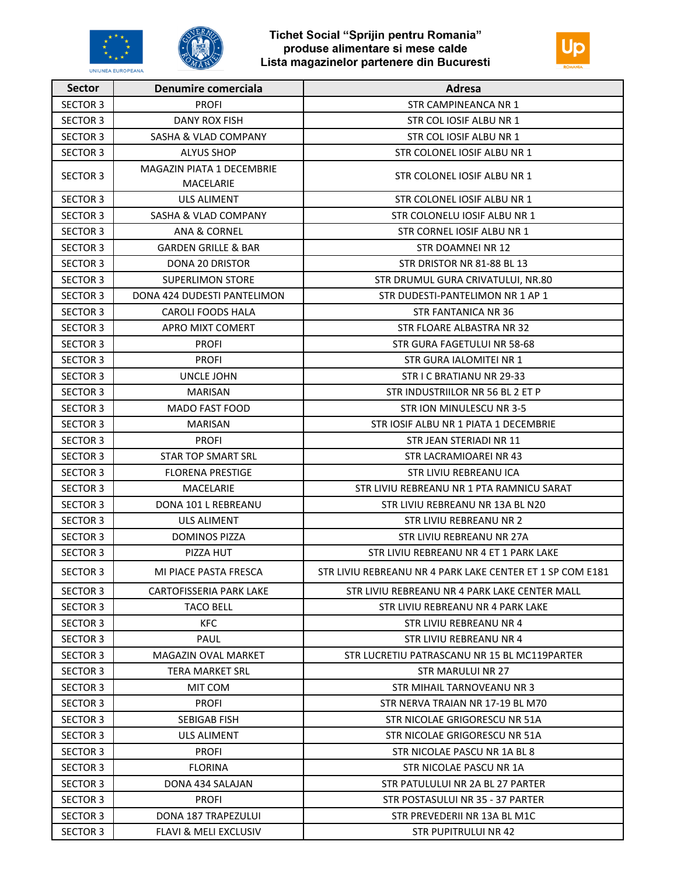





| <b>Sector</b>   | Denumire comerciala                    | Adresa                                                    |
|-----------------|----------------------------------------|-----------------------------------------------------------|
| <b>SECTOR 3</b> | <b>PROFI</b>                           | STR CAMPINEANCA NR 1                                      |
| <b>SECTOR 3</b> | <b>DANY ROX FISH</b>                   | STR COL IOSIF ALBU NR 1                                   |
| <b>SECTOR 3</b> | SASHA & VLAD COMPANY                   | STR COL IOSIF ALBU NR 1                                   |
| <b>SECTOR 3</b> | <b>ALYUS SHOP</b>                      | STR COLONEL IOSIF ALBU NR 1                               |
| <b>SECTOR 3</b> | MAGAZIN PIATA 1 DECEMBRIE<br>MACELARIE | STR COLONEL IOSIF ALBU NR 1                               |
| <b>SECTOR 3</b> | ULS ALIMENT                            | STR COLONEL IOSIF ALBU NR 1                               |
| <b>SECTOR 3</b> | SASHA & VLAD COMPANY                   | STR COLONELU JOSIF ALBU NR 1                              |
| <b>SECTOR 3</b> | ANA & CORNEL                           | STR CORNEL IOSIF ALBU NR 1                                |
| <b>SECTOR 3</b> | <b>GARDEN GRILLE &amp; BAR</b>         | STR DOAMNEI NR 12                                         |
| <b>SECTOR 3</b> | <b>DONA 20 DRISTOR</b>                 | STR DRISTOR NR 81-88 BL 13                                |
| <b>SECTOR 3</b> | <b>SUPERLIMON STORE</b>                | STR DRUMUL GURA CRIVATULUI, NR.80                         |
| <b>SECTOR 3</b> | DONA 424 DUDESTI PANTELIMON            | STR DUDESTI-PANTELIMON NR 1 AP 1                          |
| <b>SECTOR 3</b> | <b>CAROLI FOODS HALA</b>               | STR FANTANICA NR 36                                       |
| <b>SECTOR 3</b> | APRO MIXT COMERT                       | STR FLOARE ALBASTRA NR 32                                 |
| <b>SECTOR 3</b> | <b>PROFI</b>                           | STR GURA FAGETULUI NR 58-68                               |
| <b>SECTOR 3</b> | <b>PROFI</b>                           | STR GURA IALOMITEI NR 1                                   |
| <b>SECTOR 3</b> | UNCLE JOHN                             | STR I C BRATIANU NR 29-33                                 |
| <b>SECTOR 3</b> | <b>MARISAN</b>                         | STR INDUSTRIILOR NR 56 BL 2 ET P                          |
| <b>SECTOR 3</b> | <b>MADO FAST FOOD</b>                  | STR ION MINULESCU NR 3-5                                  |
| <b>SECTOR 3</b> | <b>MARISAN</b>                         | STR IOSIF ALBU NR 1 PIATA 1 DECEMBRIE                     |
| <b>SECTOR 3</b> | <b>PROFI</b>                           | STR JEAN STERIADI NR 11                                   |
| <b>SECTOR 3</b> | <b>STAR TOP SMART SRL</b>              | STR LACRAMIOAREI NR 43                                    |
| <b>SECTOR 3</b> | <b>FLORENA PRESTIGE</b>                | STR LIVIU REBREANU ICA                                    |
| <b>SECTOR 3</b> | MACELARIE                              | STR LIVIU REBREANU NR 1 PTA RAMNICU SARAT                 |
| <b>SECTOR 3</b> | DONA 101 L REBREANU                    | STR LIVIU REBREANU NR 13A BL N20                          |
| <b>SECTOR 3</b> | ULS ALIMENT                            | STR LIVIU REBREANU NR 2                                   |
| <b>SECTOR 3</b> | <b>DOMINOS PIZZA</b>                   | STR LIVIU REBREANU NR 27A                                 |
| <b>SECTOR 3</b> | PIZZA HUT                              | STR LIVIU REBREANU NR 4 ET 1 PARK LAKE                    |
| <b>SECTOR 3</b> | MI PIACE PASTA FRESCA                  | STR LIVIU REBREANU NR 4 PARK LAKE CENTER ET 1 SP COM E181 |
| <b>SECTOR 3</b> | CARTOFISSERIA PARK LAKE                | STR LIVIU REBREANU NR 4 PARK LAKE CENTER MALL             |
| <b>SECTOR 3</b> | TACO BELL                              | STR LIVIU REBREANU NR 4 PARK LAKE                         |
| <b>SECTOR 3</b> | KFC                                    | STR LIVIU REBREANU NR 4                                   |
| SECTOR 3        | PAUL                                   | STR LIVIU REBREANU NR 4                                   |
| <b>SECTOR 3</b> | MAGAZIN OVAL MARKET                    | STR LUCRETIU PATRASCANU NR 15 BL MC119PARTER              |
| <b>SECTOR 3</b> | TERA MARKET SRL                        | STR MARULUI NR 27                                         |
| <b>SECTOR 3</b> | MIT COM                                | STR MIHAIL TARNOVEANU NR 3                                |
| SECTOR 3        | <b>PROFI</b>                           | STR NERVA TRAIAN NR 17-19 BL M70                          |
| <b>SECTOR 3</b> | <b>SEBIGAB FISH</b>                    | STR NICOLAE GRIGORESCU NR 51A                             |
| <b>SECTOR 3</b> | <b>ULS ALIMENT</b>                     | STR NICOLAE GRIGORESCU NR 51A                             |
| SECTOR 3        | <b>PROFI</b>                           | STR NICOLAE PASCU NR 1A BL 8                              |
| <b>SECTOR 3</b> | <b>FLORINA</b>                         | STR NICOLAE PASCU NR 1A                                   |
| <b>SECTOR 3</b> | DONA 434 SALAJAN                       | STR PATULULUI NR 2A BL 27 PARTER                          |
| <b>SECTOR 3</b> | <b>PROFI</b>                           | STR POSTASULUI NR 35 - 37 PARTER                          |
| <b>SECTOR 3</b> | DONA 187 TRAPEZULUI                    | STR PREVEDERII NR 13A BL M1C                              |
| <b>SECTOR 3</b> | FLAVI & MELI EXCLUSIV                  | STR PUPITRULUI NR 42                                      |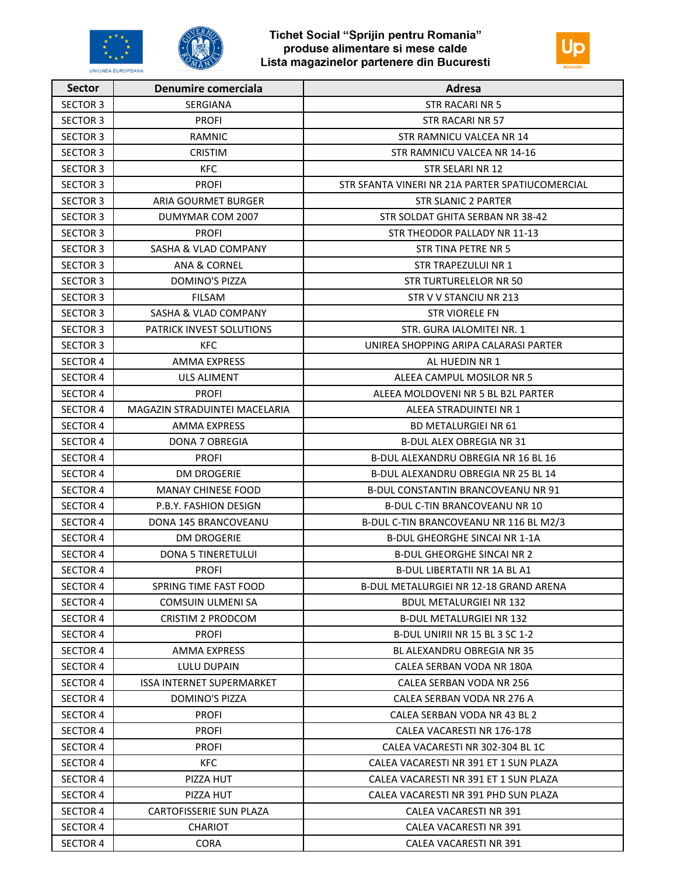



| <b>Sector</b>   | <b>Denumire comerciala</b>      | Adresa                                          |
|-----------------|---------------------------------|-------------------------------------------------|
| <b>SECTOR 3</b> | SERGIANA                        | <b>STR RACARINR 5</b>                           |
| <b>SECTOR 3</b> | <b>PROFI</b>                    | STR RACARI NR 57                                |
| <b>SECTOR 3</b> | <b>RAMNIC</b>                   | STR RAMNICU VALCEA NR 14                        |
| <b>SECTOR 3</b> | <b>CRISTIM</b>                  | STR RAMNICU VALCEA NR 14-16                     |
| <b>SECTOR 3</b> | <b>KFC</b>                      | STR SELARI NR 12                                |
| <b>SECTOR 3</b> | <b>PROFI</b>                    | STR SFANTA VINERI NR 21A PARTER SPATIUCOMERCIAL |
| <b>SECTOR 3</b> | ARIA GOURMET BURGER             | STR SLANIC 2 PARTER                             |
| <b>SECTOR 3</b> | DUMYMAR COM 2007                | STR SOLDAT GHITA SERBAN NR 38-42                |
| <b>SECTOR 3</b> | <b>PROFI</b>                    | STR THEODOR PALLADY NR 11-13                    |
| <b>SECTOR 3</b> | <b>SASHA &amp; VLAD COMPANY</b> | STR TINA PETRE NR 5                             |
| <b>SECTOR 3</b> | ANA & CORNEL                    | STR TRAPEZULUI NR 1                             |
| <b>SECTOR 3</b> | <b>DOMINO'S PIZZA</b>           | STR TURTURELELOR NR 50                          |
| <b>SECTOR 3</b> | <b>FILSAM</b>                   | STR V V STANCIU NR 213                          |
| <b>SECTOR 3</b> | SASHA & VLAD COMPANY            | <b>STR VIORELE FN</b>                           |
| <b>SECTOR 3</b> | PATRICK INVEST SOLUTIONS        | STR. GURA IALOMITEI NR. 1                       |
| <b>SECTOR 3</b> | <b>KFC</b>                      | UNIREA SHOPPING ARIPA CALARASI PARTER           |
| <b>SECTOR 4</b> | AMMA EXPRESS                    | AL HUEDIN NR 1                                  |
| <b>SECTOR 4</b> | <b>ULS ALIMENT</b>              | ALEEA CAMPUL MOSILOR NR 5                       |
| <b>SECTOR 4</b> | <b>PROFI</b>                    | ALEEA MOLDOVENI NR 5 BL B2L PARTER              |
| <b>SECTOR 4</b> | MAGAZIN STRADUINTEI MACELARIA   | ALEEA STRADUINTEI NR 1                          |
| <b>SECTOR 4</b> | AMMA EXPRESS                    | <b>BD METALURGIEI NR 61</b>                     |
| <b>SECTOR 4</b> | DONA 7 OBREGIA                  | <b>B-DUL ALEX OBREGIA NR 31</b>                 |
| <b>SECTOR 4</b> | <b>PROFI</b>                    | B-DUL ALEXANDRU OBREGIA NR 16 BL 16             |
| <b>SECTOR 4</b> | <b>DM DROGERIE</b>              | B-DUL ALEXANDRU OBREGIA NR 25 BL 14             |
| <b>SECTOR 4</b> | <b>MANAY CHINESE FOOD</b>       | B-DUL CONSTANTIN BRANCOVEANU NR 91              |
| <b>SECTOR 4</b> | P.B.Y. FASHION DESIGN           | B-DUL C-TIN BRANCOVEANU NR 10                   |
| <b>SECTOR 4</b> | DONA 145 BRANCOVEANU            | B-DUL C-TIN BRANCOVEANU NR 116 BL M2/3          |
| SECTOR 4        | <b>DM DROGERIE</b>              | <b>B-DUL GHEORGHE SINCAI NR 1-1A</b>            |
| <b>SECTOR 4</b> | <b>DONA 5 TINERETULUI</b>       | <b>B-DUL GHEORGHE SINCAI NR 2</b>               |
| <b>SECTOR 4</b> | <b>PROFI</b>                    | <b>B-DUL LIBERTATII NR 1A BL A1</b>             |
| <b>SECTOR 4</b> | SPRING TIME FAST FOOD           | <b>B-DUL METALURGIEI NR 12-18 GRAND ARENA</b>   |
| <b>SECTOR 4</b> | COMSUIN ULMENI SA               | BDUL METALURGIEI NR 132                         |
| SECTOR 4        | CRISTIM 2 PRODCOM               | B-DUL METALURGIEI NR 132                        |
| <b>SECTOR 4</b> | <b>PROFI</b>                    | B-DUL UNIRII NR 15 BL 3 SC 1-2                  |
| <b>SECTOR 4</b> | AMMA EXPRESS                    | BL ALEXANDRU OBREGIA NR 35                      |
| <b>SECTOR 4</b> | LULU DUPAIN                     | CALEA SERBAN VODA NR 180A                       |
| <b>SECTOR 4</b> | ISSA INTERNET SUPERMARKET       | CALEA SERBAN VODA NR 256                        |
| <b>SECTOR 4</b> | DOMINO'S PIZZA                  | CALEA SERBAN VODA NR 276 A                      |
| <b>SECTOR 4</b> | <b>PROFI</b>                    | CALEA SERBAN VODA NR 43 BL 2                    |
| SECTOR 4        | <b>PROFI</b>                    | CALEA VACARESTI NR 176-178                      |
| <b>SECTOR 4</b> | <b>PROFI</b>                    | CALEA VACARESTI NR 302-304 BL 1C                |
| <b>SECTOR 4</b> | <b>KFC</b>                      | CALEA VACARESTI NR 391 ET 1 SUN PLAZA           |
| <b>SECTOR 4</b> | PIZZA HUT                       | CALEA VACARESTI NR 391 ET 1 SUN PLAZA           |
| <b>SECTOR 4</b> | PIZZA HUT                       | CALEA VACARESTI NR 391 PHD SUN PLAZA            |
| <b>SECTOR 4</b> | CARTOFISSERIE SUN PLAZA         | CALEA VACARESTI NR 391                          |
| <b>SECTOR 4</b> | <b>CHARIOT</b>                  | CALEA VACARESTI NR 391                          |
| <b>SECTOR 4</b> | <b>CORA</b>                     | CALEA VACARESTI NR 391                          |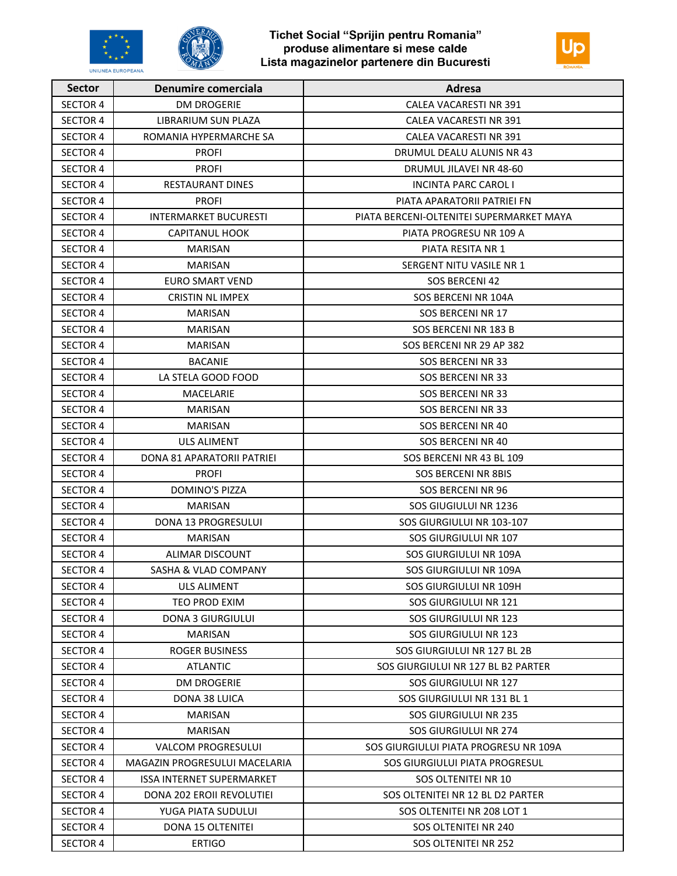





| <b>Sector</b>   | <b>Denumire comerciala</b>       | Adresa                                   |
|-----------------|----------------------------------|------------------------------------------|
| <b>SECTOR 4</b> | <b>DM DROGERIE</b>               | <b>CALEA VACARESTI NR 391</b>            |
| <b>SECTOR 4</b> | LIBRARIUM SUN PLAZA              | CALEA VACARESTI NR 391                   |
| <b>SECTOR 4</b> | ROMANIA HYPERMARCHE SA           | CALEA VACARESTI NR 391                   |
| <b>SECTOR 4</b> | <b>PROFI</b>                     | DRUMUL DEALU ALUNIS NR 43                |
| <b>SECTOR 4</b> | <b>PROFI</b>                     | DRUMUL JILAVEI NR 48-60                  |
| <b>SECTOR 4</b> | <b>RESTAURANT DINES</b>          | <b>INCINTA PARC CAROL I</b>              |
| <b>SECTOR 4</b> | <b>PROFI</b>                     | PIATA APARATORII PATRIEI FN              |
| <b>SECTOR 4</b> | <b>INTERMARKET BUCURESTI</b>     | PIATA BERCENI-OLTENITEI SUPERMARKET MAYA |
| <b>SECTOR 4</b> | <b>CAPITANUL HOOK</b>            | PIATA PROGRESU NR 109 A                  |
| <b>SECTOR 4</b> | <b>MARISAN</b>                   | PIATA RESITA NR 1                        |
| SECTOR 4        | <b>MARISAN</b>                   | SERGENT NITU VASILE NR 1                 |
| <b>SECTOR 4</b> | <b>EURO SMART VEND</b>           | SOS BERCENI 42                           |
| <b>SECTOR 4</b> | <b>CRISTIN NL IMPEX</b>          | SOS BERCENI NR 104A                      |
| <b>SECTOR 4</b> | <b>MARISAN</b>                   | SOS BERCENI NR 17                        |
| SECTOR 4        | MARISAN                          | SOS BERCENI NR 183 B                     |
| <b>SECTOR 4</b> | <b>MARISAN</b>                   | SOS BERCENI NR 29 AP 382                 |
| <b>SECTOR 4</b> | <b>BACANIE</b>                   | <b>SOS BERCENI NR 33</b>                 |
| SECTOR 4        | LA STELA GOOD FOOD               | SOS BERCENI NR 33                        |
| <b>SECTOR 4</b> | MACELARIE                        | <b>SOS BERCENI NR 33</b>                 |
| <b>SECTOR 4</b> | <b>MARISAN</b>                   | SOS BERCENI NR 33                        |
| <b>SECTOR 4</b> | <b>MARISAN</b>                   | <b>SOS BERCENI NR 40</b>                 |
| <b>SECTOR 4</b> | <b>ULS ALIMENT</b>               | <b>SOS BERCENI NR 40</b>                 |
| SECTOR 4        | DONA 81 APARATORII PATRIEI       | SOS BERCENI NR 43 BL 109                 |
| <b>SECTOR 4</b> | <b>PROFI</b>                     | <b>SOS BERCENI NR 8BIS</b>               |
| <b>SECTOR 4</b> | <b>DOMINO'S PIZZA</b>            | SOS BERCENI NR 96                        |
| <b>SECTOR 4</b> | <b>MARISAN</b>                   | SOS GIUGIULUI NR 1236                    |
| SECTOR 4        | DONA 13 PROGRESULUI              | SOS GIURGIULUI NR 103-107                |
| <b>SECTOR 4</b> | <b>MARISAN</b>                   | SOS GIURGIULUI NR 107                    |
| <b>SECTOR 4</b> | <b>ALIMAR DISCOUNT</b>           | SOS GIURGIULUI NR 109A                   |
| <b>SECTOR 4</b> | SASHA & VLAD COMPANY             | SOS GIURGIULUI NR 109A                   |
| <b>SECTOR 4</b> | <b>ULS ALIMENT</b>               | SOS GIURGIULUI NR 109H                   |
| <b>SECTOR 4</b> | <b>TEO PROD EXIM</b>             | SOS GIURGIULUI NR 121                    |
| <b>SECTOR 4</b> | <b>DONA 3 GIURGIULUI</b>         | SOS GIURGIULUI NR 123                    |
| <b>SECTOR 4</b> | <b>MARISAN</b>                   | SOS GIURGIULUI NR 123                    |
| <b>SECTOR 4</b> | <b>ROGER BUSINESS</b>            | SOS GIURGIULUI NR 127 BL 2B              |
| <b>SECTOR 4</b> | <b>ATLANTIC</b>                  | SOS GIURGIULUI NR 127 BL B2 PARTER       |
| <b>SECTOR 4</b> | <b>DM DROGERIE</b>               | SOS GIURGIULUI NR 127                    |
| <b>SECTOR 4</b> | DONA 38 LUICA                    | SOS GIURGIULUI NR 131 BL 1               |
| <b>SECTOR 4</b> | MARISAN                          | SOS GIURGIULUI NR 235                    |
| <b>SECTOR 4</b> | <b>MARISAN</b>                   | SOS GIURGIULUI NR 274                    |
| <b>SECTOR 4</b> | <b>VALCOM PROGRESULUI</b>        | SOS GIURGIULUI PIATA PROGRESU NR 109A    |
| <b>SECTOR 4</b> | MAGAZIN PROGRESULUI MACELARIA    | SOS GIURGIULUI PIATA PROGRESUL           |
| <b>SECTOR 4</b> | <b>ISSA INTERNET SUPERMARKET</b> | SOS OLTENITEI NR 10                      |
| <b>SECTOR 4</b> | DONA 202 EROII REVOLUTIEI        | SOS OLTENITEI NR 12 BL D2 PARTER         |
| <b>SECTOR 4</b> | YUGA PIATA SUDULUI               | SOS OLTENITEI NR 208 LOT 1               |
| SECTOR 4        | DONA 15 OLTENITEI                | SOS OLTENITEI NR 240                     |
| <b>SECTOR 4</b> | <b>ERTIGO</b>                    | SOS OLTENITEI NR 252                     |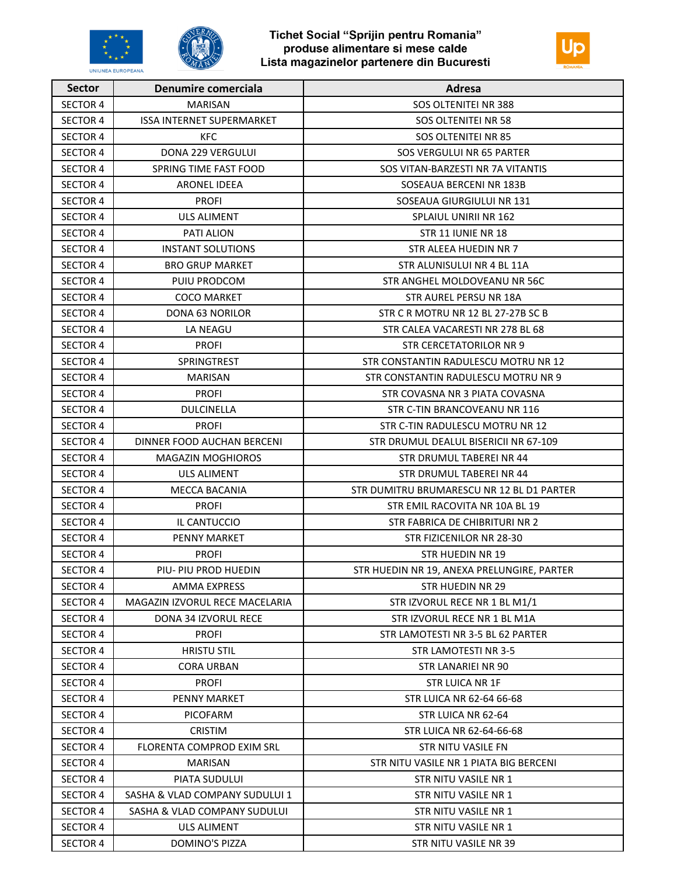



| <b>Sector</b>   | <b>Denumire comerciala</b>     | Adresa                                     |
|-----------------|--------------------------------|--------------------------------------------|
| <b>SECTOR 4</b> | <b>MARISAN</b>                 | SOS OLTENITEI NR 388                       |
| <b>SECTOR 4</b> | ISSA INTERNET SUPERMARKET      | SOS OLTENITEI NR 58                        |
| <b>SECTOR 4</b> | KFC.                           | SOS OLTENITEI NR 85                        |
| <b>SECTOR 4</b> | <b>DONA 229 VERGULUI</b>       | SOS VERGULUI NR 65 PARTER                  |
| <b>SECTOR 4</b> | SPRING TIME FAST FOOD          | SOS VITAN-BARZESTI NR 7A VITANTIS          |
| <b>SECTOR 4</b> | <b>ARONEL IDEEA</b>            | SOSEAUA BERCENI NR 183B                    |
| <b>SECTOR 4</b> | <b>PROFI</b>                   | SOSEAUA GIURGIULUI NR 131                  |
| <b>SECTOR 4</b> | <b>ULS ALIMENT</b>             | SPLAIUL UNIRII NR 162                      |
| <b>SECTOR 4</b> | PATI ALION                     | STR 11 IUNIE NR 18                         |
| <b>SECTOR 4</b> | <b>INSTANT SOLUTIONS</b>       | STR ALEEA HUEDIN NR 7                      |
| <b>SECTOR 4</b> | <b>BRO GRUP MARKET</b>         | STR ALUNISULUI NR 4 BL 11A                 |
| <b>SECTOR 4</b> | PUIU PRODCOM                   | STR ANGHEL MOLDOVEANU NR 56C               |
| <b>SECTOR 4</b> | <b>COCO MARKET</b>             | STR AUREL PERSU NR 18A                     |
| <b>SECTOR 4</b> | DONA 63 NORILOR                | STR C R MOTRU NR 12 BL 27-27B SC B         |
| <b>SECTOR 4</b> | LA NEAGU                       | STR CALEA VACARESTI NR 278 BL 68           |
| <b>SECTOR 4</b> | <b>PROFI</b>                   | STR CERCETATORILOR NR 9                    |
| <b>SECTOR 4</b> | SPRINGTREST                    | STR CONSTANTIN RADULESCU MOTRU NR 12       |
| <b>SECTOR 4</b> | <b>MARISAN</b>                 | STR CONSTANTIN RADULESCU MOTRU NR 9        |
| <b>SECTOR 4</b> | <b>PROFI</b>                   | STR COVASNA NR 3 PIATA COVASNA             |
| <b>SECTOR 4</b> | <b>DULCINELLA</b>              | STR C-TIN BRANCOVEANU NR 116               |
| <b>SECTOR 4</b> | <b>PROFI</b>                   | STR C-TIN RADULESCU MOTRU NR 12            |
| <b>SECTOR 4</b> | DINNER FOOD AUCHAN BERCENI     | STR DRUMUL DEALUL BISERICII NR 67-109      |
| <b>SECTOR 4</b> | MAGAZIN MOGHIOROS              | STR DRUMUL TABEREI NR 44                   |
| <b>SECTOR 4</b> | ULS ALIMENT                    | STR DRUMUL TABEREI NR 44                   |
| <b>SECTOR 4</b> | <b>MECCA BACANIA</b>           | STR DUMITRU BRUMARESCU NR 12 BL D1 PARTER  |
| <b>SECTOR 4</b> | <b>PROFI</b>                   | STR EMIL RACOVITA NR 10A BL 19             |
| <b>SECTOR 4</b> | IL CANTUCCIO                   | STR FABRICA DE CHIBRITURI NR 2             |
| <b>SECTOR 4</b> | <b>PENNY MARKET</b>            | STR FIZICENILOR NR 28-30                   |
| <b>SECTOR 4</b> | <b>PROFI</b>                   | STR HUEDIN NR 19                           |
| <b>SECTOR 4</b> | PIU- PIU PROD HUEDIN           | STR HUEDIN NR 19, ANEXA PRELUNGIRE, PARTER |
| <b>SECTOR 4</b> | AMMA EXPRESS                   | <b>STR HUEDIN NR 29</b>                    |
| <b>SECTOR 4</b> | MAGAZIN IZVORUL RECE MACELARIA | STR IZVORUL RECE NR 1 BL M1/1              |
| <b>SECTOR 4</b> | <b>DONA 34 IZVORUL RECE</b>    | STR IZVORUL RECE NR 1 BL M1A               |
| <b>SECTOR 4</b> | <b>PROFI</b>                   | STR LAMOTESTI NR 3-5 BL 62 PARTER          |
| <b>SECTOR 4</b> | <b>HRISTU STIL</b>             | STR LAMOTESTI NR 3-5                       |
| <b>SECTOR 4</b> | <b>CORA URBAN</b>              | STR LANARIEI NR 90                         |
| <b>SECTOR 4</b> | <b>PROFI</b>                   | <b>STR LUICA NR 1F</b>                     |
| <b>SECTOR 4</b> | <b>PENNY MARKET</b>            | STR LUICA NR 62-64 66-68                   |
| <b>SECTOR 4</b> | <b>PICOFARM</b>                | STR LUICA NR 62-64                         |
| <b>SECTOR 4</b> | <b>CRISTIM</b>                 | STR LUICA NR 62-64-66-68                   |
| <b>SECTOR 4</b> | FLORENTA COMPROD EXIM SRL      | STR NITU VASILE FN                         |
| SECTOR 4        | <b>MARISAN</b>                 | STR NITU VASILE NR 1 PIATA BIG BERCENI     |
| <b>SECTOR 4</b> | PIATA SUDULUI                  | STR NITU VASILE NR 1                       |
| <b>SECTOR 4</b> | SASHA & VLAD COMPANY SUDULUI 1 | STR NITU VASILE NR 1                       |
| <b>SECTOR 4</b> | SASHA & VLAD COMPANY SUDULUI   | STR NITU VASILE NR 1                       |
| <b>SECTOR 4</b> | ULS ALIMENT                    | STR NITU VASILE NR 1                       |
| <b>SECTOR 4</b> | DOMINO'S PIZZA                 | STR NITU VASILE NR 39                      |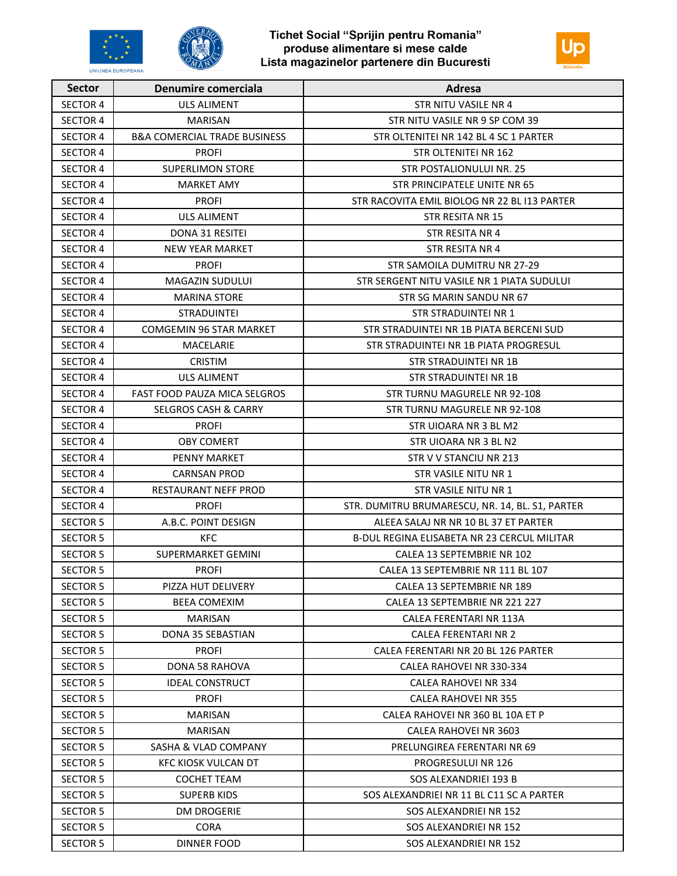



| <b>Sector</b>   | Denumire comerciala                     | Adresa                                          |
|-----------------|-----------------------------------------|-------------------------------------------------|
| <b>SECTOR 4</b> | <b>ULS ALIMENT</b>                      | <b>STR NITU VASILE NR 4</b>                     |
| <b>SECTOR 4</b> | <b>MARISAN</b>                          | STR NITU VASILE NR 9 SP COM 39                  |
| <b>SECTOR 4</b> | <b>B&amp;A COMERCIAL TRADE BUSINESS</b> | STR OLTENITEI NR 142 BL 4 SC 1 PARTER           |
| <b>SECTOR 4</b> | <b>PROFI</b>                            | STR OLTENITEI NR 162                            |
| <b>SECTOR 4</b> | <b>SUPERLIMON STORE</b>                 | STR POSTALIONULUI NR. 25                        |
| <b>SECTOR 4</b> | MARKET AMY                              | STR PRINCIPATELE UNITE NR 65                    |
| <b>SECTOR 4</b> | <b>PROFI</b>                            | STR RACOVITA EMIL BIOLOG NR 22 BL I13 PARTER    |
| <b>SECTOR 4</b> | <b>ULS ALIMENT</b>                      | STR RESITA NR 15                                |
| <b>SECTOR 4</b> | <b>DONA 31 RESITEI</b>                  | STR RESITA NR 4                                 |
| <b>SECTOR 4</b> | <b>NEW YEAR MARKET</b>                  | STR RESITA NR 4                                 |
| <b>SECTOR 4</b> | <b>PROFI</b>                            | STR SAMOILA DUMITRU NR 27-29                    |
| <b>SECTOR 4</b> | <b>MAGAZIN SUDULUI</b>                  | STR SERGENT NITU VASILE NR 1 PIATA SUDULUI      |
| <b>SECTOR 4</b> | MARINA STORE                            | STR SG MARIN SANDU NR 67                        |
| <b>SECTOR 4</b> | <b>STRADUINTEI</b>                      | STR STRADUINTEI NR 1                            |
| <b>SECTOR 4</b> | <b>COMGEMIN 96 STAR MARKET</b>          | STR STRADUINTEI NR 1B PIATA BERCENI SUD         |
| <b>SECTOR 4</b> | MACELARIE                               | STR STRADUINTEI NR 1B PIATA PROGRESUL           |
| <b>SECTOR 4</b> | <b>CRISTIM</b>                          | STR STRADUINTEI NR 1B                           |
| <b>SECTOR 4</b> | <b>ULS ALIMENT</b>                      | STR STRADUINTEI NR 1B                           |
| <b>SECTOR 4</b> | <b>FAST FOOD PAUZA MICA SELGROS</b>     | STR TURNU MAGURELE NR 92-108                    |
| <b>SECTOR 4</b> | <b>SELGROS CASH &amp; CARRY</b>         | STR TURNU MAGURELE NR 92-108                    |
| <b>SECTOR 4</b> | <b>PROFI</b>                            | STR UIOARA NR 3 BL M2                           |
| <b>SECTOR 4</b> | <b>OBY COMERT</b>                       | STR UIOARA NR 3 BL N2                           |
| <b>SECTOR 4</b> | <b>PENNY MARKET</b>                     | STR V V STANCIU NR 213                          |
| <b>SECTOR 4</b> | <b>CARNSAN PROD</b>                     | STR VASILE NITU NR 1                            |
| <b>SECTOR 4</b> | <b>RESTAURANT NEFF PROD</b>             | STR VASILE NITU NR 1                            |
| <b>SECTOR 4</b> | <b>PROFI</b>                            | STR. DUMITRU BRUMARESCU, NR. 14, BL. S1, PARTER |
| <b>SECTOR 5</b> | A.B.C. POINT DESIGN                     | ALEEA SALAJ NR NR 10 BL 37 ET PARTER            |
| <b>SECTOR 5</b> | <b>KFC</b>                              | B-DUL REGINA ELISABETA NR 23 CERCUL MILITAR     |
| <b>SECTOR 5</b> | <b>SUPERMARKET GEMINI</b>               | CALEA 13 SEPTEMBRIE NR 102                      |
| <b>SECTOR 5</b> | <b>PROFI</b>                            | CALEA 13 SEPTEMBRIE NR 111 BL 107               |
| <b>SECTOR 5</b> | PIZZA HUT DELIVERY                      | CALEA 13 SEPTEMBRIE NR 189                      |
| SECTOR 5        | <b>BEEA COMEXIM</b>                     | CALEA 13 SEPTEMBRIE NR 221 227                  |
| <b>SECTOR 5</b> | MARISAN                                 | CALEA FERENTARI NR 113A                         |
| <b>SECTOR 5</b> | DONA 35 SEBASTIAN                       | <b>CALEA FERENTARI NR 2</b>                     |
| <b>SECTOR 5</b> | <b>PROFI</b>                            | CALEA FERENTARI NR 20 BL 126 PARTER             |
| <b>SECTOR 5</b> | DONA 58 RAHOVA                          | CALEA RAHOVEI NR 330-334                        |
| <b>SECTOR 5</b> | <b>IDEAL CONSTRUCT</b>                  | CALEA RAHOVEI NR 334                            |
| <b>SECTOR 5</b> | <b>PROFI</b>                            | CALEA RAHOVEI NR 355                            |
| <b>SECTOR 5</b> | <b>MARISAN</b>                          | CALEA RAHOVEI NR 360 BL 10A ET P                |
| SECTOR 5        | MARISAN                                 | CALEA RAHOVEI NR 3603                           |
| <b>SECTOR 5</b> | SASHA & VLAD COMPANY                    | PRELUNGIREA FERENTARI NR 69                     |
| <b>SECTOR 5</b> | <b>KFC KIOSK VULCAN DT</b>              | PROGRESULUI NR 126                              |
| <b>SECTOR 5</b> | <b>COCHET TEAM</b>                      | SOS ALEXANDRIEI 193 B                           |
| SECTOR 5        | SUPERB KIDS                             | SOS ALEXANDRIEI NR 11 BL C11 SC A PARTER        |
| <b>SECTOR 5</b> | <b>DM DROGERIE</b>                      | SOS ALEXANDRIEI NR 152                          |
| <b>SECTOR 5</b> | <b>CORA</b>                             | SOS ALEXANDRIEI NR 152                          |
| <b>SECTOR 5</b> | <b>DINNER FOOD</b>                      | SOS ALEXANDRIEI NR 152                          |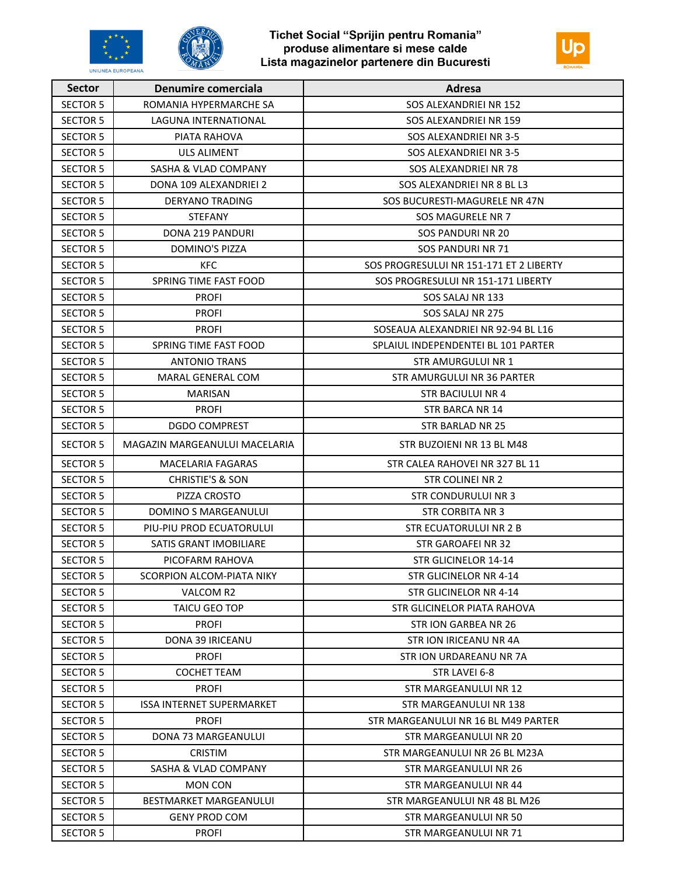





| <b>Sector</b>   | <b>Denumire comerciala</b>       | Adresa                                  |
|-----------------|----------------------------------|-----------------------------------------|
| <b>SECTOR 5</b> | ROMANIA HYPERMARCHE SA           | SOS ALEXANDRIEI NR 152                  |
| <b>SECTOR 5</b> | LAGUNA INTERNATIONAL             | SOS ALEXANDRIEI NR 159                  |
| <b>SECTOR 5</b> | PIATA RAHOVA                     | SOS ALEXANDRIEI NR 3-5                  |
| <b>SECTOR 5</b> | <b>ULS ALIMENT</b>               | SOS ALEXANDRIEI NR 3-5                  |
| <b>SECTOR 5</b> | <b>SASHA &amp; VLAD COMPANY</b>  | SOS ALEXANDRIEI NR 78                   |
| <b>SECTOR 5</b> | DONA 109 ALEXANDRIEI 2           | SOS ALEXANDRIEI NR 8 BL L3              |
| <b>SECTOR 5</b> | DERYANO TRADING                  | SOS BUCURESTI-MAGURELE NR 47N           |
| <b>SECTOR 5</b> | <b>STEFANY</b>                   | SOS MAGURELE NR 7                       |
| <b>SECTOR 5</b> | DONA 219 PANDURI                 | <b>SOS PANDURI NR 20</b>                |
| <b>SECTOR 5</b> | <b>DOMINO'S PIZZA</b>            | SOS PANDURI NR 71                       |
| <b>SECTOR 5</b> | <b>KFC</b>                       | SOS PROGRESULUI NR 151-171 ET 2 LIBERTY |
| <b>SECTOR 5</b> | SPRING TIME FAST FOOD            | SOS PROGRESULUI NR 151-171 LIBERTY      |
| <b>SECTOR 5</b> | <b>PROFI</b>                     | SOS SALAJ NR 133                        |
| <b>SECTOR 5</b> | <b>PROFI</b>                     | SOS SALAJ NR 275                        |
| <b>SECTOR 5</b> | <b>PROFI</b>                     | SOSEAUA ALEXANDRIEI NR 92-94 BL L16     |
| <b>SECTOR 5</b> | SPRING TIME FAST FOOD            | SPLAIUL INDEPENDENTEI BL 101 PARTER     |
| <b>SECTOR 5</b> | <b>ANTONIO TRANS</b>             | <b>STR AMURGULUI NR 1</b>               |
| <b>SECTOR 5</b> | MARAL GENERAL COM                | STR AMURGULUI NR 36 PARTER              |
| <b>SECTOR 5</b> | <b>MARISAN</b>                   | <b>STR BACIULUI NR 4</b>                |
| <b>SECTOR 5</b> | <b>PROFI</b>                     | STR BARCA NR 14                         |
| <b>SECTOR 5</b> | <b>DGDO COMPREST</b>             | STR BARLAD NR 25                        |
| <b>SECTOR 5</b> | MAGAZIN MARGEANULUI MACELARIA    | STR BUZOIENI NR 13 BL M48               |
| <b>SECTOR 5</b> | <b>MACELARIA FAGARAS</b>         | STR CALEA RAHOVEI NR 327 BL 11          |
| <b>SECTOR 5</b> | <b>CHRISTIE'S &amp; SON</b>      | STR COLINEI NR 2                        |
| <b>SECTOR 5</b> | PIZZA CROSTO                     | <b>STR CONDURULUI NR 3</b>              |
| <b>SECTOR 5</b> | DOMINO S MARGEANULUI             | STR CORBITA NR 3                        |
| <b>SECTOR 5</b> | PIU-PIU PROD ECUATORULUI         | <b>STR ECUATORULUI NR 2 B</b>           |
| <b>SECTOR 5</b> | <b>SATIS GRANT IMOBILIARE</b>    | <b>STR GAROAFEI NR 32</b>               |
| <b>SECTOR 5</b> | PICOFARM RAHOVA                  | STR GLICINELOR 14-14                    |
| <b>SECTOR 5</b> | SCORPION ALCOM-PIATA NIKY        | STR GLICINELOR NR 4-14                  |
| <b>SECTOR 5</b> | VALCOM R2                        | STR GLICINELOR NR 4-14                  |
| <b>SECTOR 5</b> | <b>TAICU GEO TOP</b>             | STR GLICINELOR PIATA RAHOVA             |
| <b>SECTOR 5</b> | <b>PROFI</b>                     | STR ION GARBEA NR 26                    |
| <b>SECTOR 5</b> | <b>DONA 39 IRICEANU</b>          | STR ION IRICEANU NR 4A                  |
| <b>SECTOR 5</b> | <b>PROFI</b>                     | STR ION URDAREANU NR 7A                 |
| <b>SECTOR 5</b> | <b>COCHET TEAM</b>               | STR LAVEI 6-8                           |
| <b>SECTOR 5</b> | <b>PROFI</b>                     | STR MARGEANULUI NR 12                   |
| <b>SECTOR 5</b> | <b>ISSA INTERNET SUPERMARKET</b> | STR MARGEANULUI NR 138                  |
| <b>SECTOR 5</b> | <b>PROFI</b>                     | STR MARGEANULUI NR 16 BL M49 PARTER     |
| <b>SECTOR 5</b> | DONA 73 MARGEANULUI              | STR MARGEANULUI NR 20                   |
| <b>SECTOR 5</b> | <b>CRISTIM</b>                   | STR MARGEANULUI NR 26 BL M23A           |
| <b>SECTOR 5</b> | SASHA & VLAD COMPANY             | STR MARGEANULUI NR 26                   |
| <b>SECTOR 5</b> | <b>MON CON</b>                   | STR MARGEANULUI NR 44                   |
| <b>SECTOR 5</b> | <b>BESTMARKET MARGEANULUI</b>    | STR MARGEANULUI NR 48 BL M26            |
| <b>SECTOR 5</b> | <b>GENY PROD COM</b>             | STR MARGEANULUI NR 50                   |
| <b>SECTOR 5</b> | <b>PROFI</b>                     | STR MARGEANULUI NR 71                   |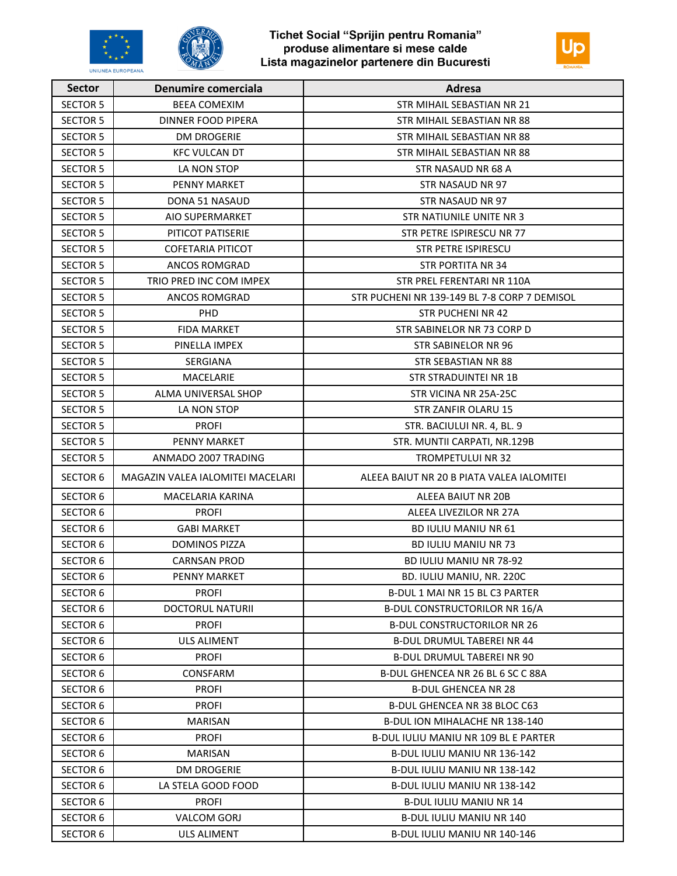





| <b>Sector</b>   | <b>Denumire comerciala</b>       | Adresa                                       |
|-----------------|----------------------------------|----------------------------------------------|
| <b>SECTOR 5</b> | <b>BEEA COMEXIM</b>              | STR MIHAIL SEBASTIAN NR 21                   |
| <b>SECTOR 5</b> | <b>DINNER FOOD PIPERA</b>        | STR MIHAIL SEBASTIAN NR 88                   |
| <b>SECTOR 5</b> | <b>DM DROGERIE</b>               | STR MIHAIL SEBASTIAN NR 88                   |
| <b>SECTOR 5</b> | <b>KFC VULCAN DT</b>             | STR MIHAIL SEBASTIAN NR 88                   |
| <b>SECTOR 5</b> | LA NON STOP                      | STR NASAUD NR 68 A                           |
| <b>SECTOR 5</b> | <b>PENNY MARKET</b>              | STR NASAUD NR 97                             |
| <b>SECTOR 5</b> | DONA 51 NASAUD                   | STR NASAUD NR 97                             |
| <b>SECTOR 5</b> | <b>AIO SUPERMARKET</b>           | STR NATIUNILE UNITE NR 3                     |
| <b>SECTOR 5</b> | PITICOT PATISERIE                | STR PETRE ISPIRESCU NR 77                    |
| <b>SECTOR 5</b> | <b>COFETARIA PITICOT</b>         | <b>STR PETRE ISPIRESCU</b>                   |
| <b>SECTOR 5</b> | <b>ANCOS ROMGRAD</b>             | <b>STR PORTITA NR 34</b>                     |
| <b>SECTOR 5</b> | TRIO PRED INC COM IMPEX          | STR PREL FERENTARI NR 110A                   |
| <b>SECTOR 5</b> | <b>ANCOS ROMGRAD</b>             | STR PUCHENI NR 139-149 BL 7-8 CORP 7 DEMISOL |
| <b>SECTOR 5</b> | PHD                              | <b>STR PUCHENI NR 42</b>                     |
| <b>SECTOR 5</b> | <b>FIDA MARKET</b>               | STR SABINELOR NR 73 CORP D                   |
| <b>SECTOR 5</b> | PINELLA IMPEX                    | <b>STR SABINELOR NR 96</b>                   |
| <b>SECTOR 5</b> | <b>SERGIANA</b>                  | <b>STR SEBASTIAN NR 88</b>                   |
| <b>SECTOR 5</b> | MACELARIE                        | <b>STR STRADUINTEI NR 1B</b>                 |
| <b>SECTOR 5</b> | ALMA UNIVERSAL SHOP              | STR VICINA NR 25A-25C                        |
| <b>SECTOR 5</b> | LA NON STOP                      | STR ZANFIR OLARU 15                          |
| <b>SECTOR 5</b> | <b>PROFI</b>                     | STR. BACIULUI NR. 4, BL. 9                   |
| <b>SECTOR 5</b> | PENNY MARKET                     | STR. MUNTII CARPATI, NR.129B                 |
| <b>SECTOR 5</b> | ANMADO 2007 TRADING              | <b>TROMPETULUI NR 32</b>                     |
| <b>SECTOR 6</b> | MAGAZIN VALEA IALOMITEI MACELARI | ALEEA BAIUT NR 20 B PIATA VALEA IALOMITEI    |
| <b>SECTOR 6</b> | MACELARIA KARINA                 | ALEEA BAIUT NR 20B                           |
| <b>SECTOR 6</b> | <b>PROFI</b>                     | ALEEA LIVEZILOR NR 27A                       |
| <b>SECTOR 6</b> | <b>GABI MARKET</b>               | <b>BD IULIU MANIU NR 61</b>                  |
| <b>SECTOR 6</b> | <b>DOMINOS PIZZA</b>             | <b>BD IULIU MANIU NR 73</b>                  |
| <b>SECTOR 6</b> | <b>CARNSAN PROD</b>              | <b>BD IULIU MANIU NR 78-92</b>               |
| <b>SECTOR 6</b> | PENNY MARKET                     | BD. IULIU MANIU, NR. 220C                    |
| <b>SECTOR 6</b> | <b>PROFI</b>                     | B-DUL 1 MAI NR 15 BL C3 PARTER               |
| <b>SECTOR 6</b> | DOCTORUL NATURII                 | <b>B-DUL CONSTRUCTORILOR NR 16/A</b>         |
| <b>SECTOR 6</b> | <b>PROFI</b>                     | <b>B-DUL CONSTRUCTORILOR NR 26</b>           |
| <b>SECTOR 6</b> | <b>ULS ALIMENT</b>               | <b>B-DUL DRUMUL TABEREI NR 44</b>            |
| <b>SECTOR 6</b> | <b>PROFI</b>                     | <b>B-DUL DRUMUL TABEREI NR 90</b>            |
| <b>SECTOR 6</b> | CONSFARM                         | B-DUL GHENCEA NR 26 BL 6 SC C 88A            |
| <b>SECTOR 6</b> | <b>PROFI</b>                     | <b>B-DUL GHENCEA NR 28</b>                   |
| <b>SECTOR 6</b> | <b>PROFI</b>                     | <b>B-DUL GHENCEA NR 38 BLOC C63</b>          |
| <b>SECTOR 6</b> | <b>MARISAN</b>                   | <b>B-DUL ION MIHALACHE NR 138-140</b>        |
| <b>SECTOR 6</b> | <b>PROFI</b>                     | B-DUL IULIU MANIU NR 109 BL E PARTER         |
| <b>SECTOR 6</b> | <b>MARISAN</b>                   | B-DUL IULIU MANIU NR 136-142                 |
| <b>SECTOR 6</b> | <b>DM DROGERIE</b>               | B-DUL IULIU MANIU NR 138-142                 |
| <b>SECTOR 6</b> | LA STELA GOOD FOOD               | B-DUL IULIU MANIU NR 138-142                 |
| <b>SECTOR 6</b> | <b>PROFI</b>                     | <b>B-DUL IULIU MANIU NR 14</b>               |
| <b>SECTOR 6</b> | VALCOM GORJ                      | <b>B-DUL IULIU MANIU NR 140</b>              |
| <b>SECTOR 6</b> | ULS ALIMENT                      | B-DUL IULIU MANIU NR 140-146                 |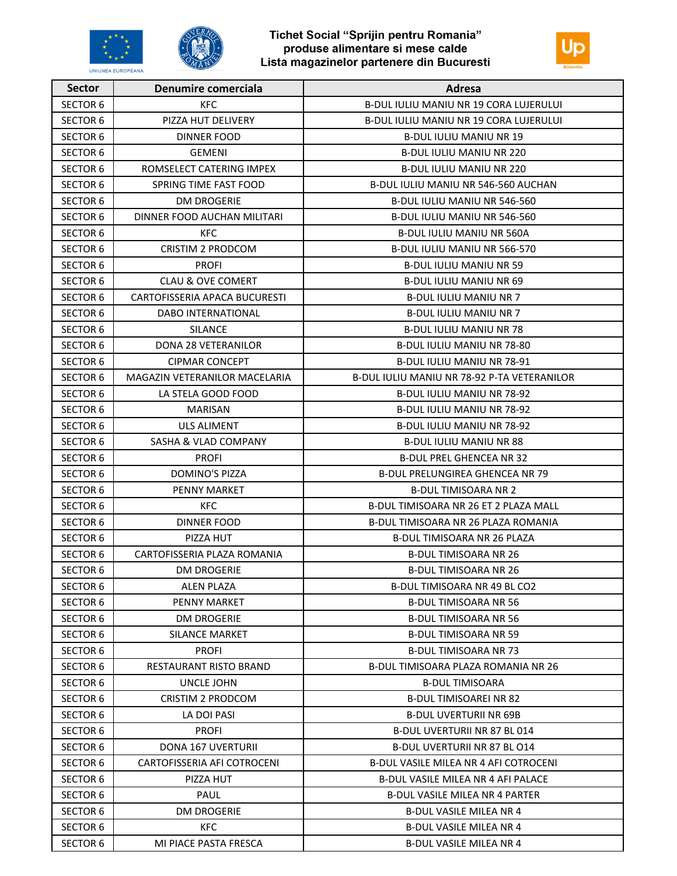





| <b>Sector</b>   | <b>Denumire comerciala</b>      | Adresa                                        |
|-----------------|---------------------------------|-----------------------------------------------|
| <b>SECTOR 6</b> | <b>KFC</b>                      | <b>B-DUL IULIU MANIU NR 19 CORA LUJERULUI</b> |
| <b>SECTOR 6</b> | PIZZA HUT DELIVERY              | B-DUL IULIU MANIU NR 19 CORA LUJERULUI        |
| <b>SECTOR 6</b> | DINNER FOOD                     | <b>B-DUL IULIU MANIU NR 19</b>                |
| <b>SECTOR 6</b> | <b>GEMENI</b>                   | <b>B-DUL IULIU MANIU NR 220</b>               |
| <b>SECTOR 6</b> | ROMSELECT CATERING IMPEX        | <b>B-DUL IULIU MANIU NR 220</b>               |
| <b>SECTOR 6</b> | SPRING TIME FAST FOOD           | B-DUL IULIU MANIU NR 546-560 AUCHAN           |
| <b>SECTOR 6</b> | <b>DM DROGERIE</b>              | B-DUL IULIU MANIU NR 546-560                  |
| <b>SECTOR 6</b> | DINNER FOOD AUCHAN MILITARI     | B-DUL IULIU MANIU NR 546-560                  |
| <b>SECTOR 6</b> | KFC.                            | <b>B-DUL IULIU MANIU NR 560A</b>              |
| <b>SECTOR 6</b> | <b>CRISTIM 2 PRODCOM</b>        | B-DUL IULIU MANIU NR 566-570                  |
| <b>SECTOR 6</b> | <b>PROFI</b>                    | <b>B-DUL IULIU MANIU NR 59</b>                |
| <b>SECTOR 6</b> | <b>CLAU &amp; OVE COMERT</b>    | <b>B-DUL IULIU MANIU NR 69</b>                |
| <b>SECTOR 6</b> | CARTOFISSERIA APACA BUCURESTI   | <b>B-DUL IULIU MANIU NR 7</b>                 |
| <b>SECTOR 6</b> | DABO INTERNATIONAL              | <b>B-DUL IULIU MANIU NR 7</b>                 |
| <b>SECTOR 6</b> | <b>SILANCE</b>                  | <b>B-DUL IULIU MANIU NR 78</b>                |
| <b>SECTOR 6</b> | DONA 28 VETERANILOR             | B-DUL IULIU MANIU NR 78-80                    |
| <b>SECTOR 6</b> | <b>CIPMAR CONCEPT</b>           | B-DUL IULIU MANIU NR 78-91                    |
| <b>SECTOR 6</b> | MAGAZIN VETERANILOR MACELARIA   | B-DUL IULIU MANIU NR 78-92 P-TA VETERANILOR   |
| <b>SECTOR 6</b> | LA STELA GOOD FOOD              | B-DUL IULIU MANIU NR 78-92                    |
| <b>SECTOR 6</b> | <b>MARISAN</b>                  | B-DUL IULIU MANIU NR 78-92                    |
| <b>SECTOR 6</b> | <b>ULS ALIMENT</b>              | B-DUL IULIU MANIU NR 78-92                    |
| <b>SECTOR 6</b> | <b>SASHA &amp; VLAD COMPANY</b> | <b>B-DUL IULIU MANIU NR 88</b>                |
| <b>SECTOR 6</b> | <b>PROFI</b>                    | <b>B-DUL PREL GHENCEA NR 32</b>               |
| <b>SECTOR 6</b> | <b>DOMINO'S PIZZA</b>           | <b>B-DUL PRELUNGIREA GHENCEA NR 79</b>        |
| <b>SECTOR 6</b> | <b>PENNY MARKET</b>             | <b>B-DUL TIMISOARA NR 2</b>                   |
| <b>SECTOR 6</b> | <b>KFC</b>                      | B-DUL TIMISOARA NR 26 ET 2 PLAZA MALL         |
| <b>SECTOR 6</b> | <b>DINNER FOOD</b>              | B-DUL TIMISOARA NR 26 PLAZA ROMANIA           |
| <b>SECTOR 6</b> | PIZZA HUT                       | <b>B-DUL TIMISOARA NR 26 PLAZA</b>            |
| <b>SECTOR 6</b> | CARTOFISSERIA PLAZA ROMANIA     | <b>B-DUL TIMISOARA NR 26</b>                  |
| <b>SECTOR 6</b> | DM DROGERIE                     | <b>B-DUL TIMISOARA NR 26</b>                  |
| <b>SECTOR 6</b> | <b>ALEN PLAZA</b>               | B-DUL TIMISOARA NR 49 BL CO2                  |
| <b>SECTOR 6</b> | <b>PENNY MARKET</b>             | <b>B-DUL TIMISOARA NR 56</b>                  |
| <b>SECTOR 6</b> | <b>DM DROGERIE</b>              | <b>B-DUL TIMISOARA NR 56</b>                  |
| <b>SECTOR 6</b> | SILANCE MARKET                  | B-DUL TIMISOARA NR 59                         |
| <b>SECTOR 6</b> | <b>PROFI</b>                    | <b>B-DUL TIMISOARA NR 73</b>                  |
| <b>SECTOR 6</b> | RESTAURANT RISTO BRAND          | B-DUL TIMISOARA PLAZA ROMANIA NR 26           |
| <b>SECTOR 6</b> | UNCLE JOHN                      | <b>B-DUL TIMISOARA</b>                        |
| <b>SECTOR 6</b> | CRISTIM 2 PRODCOM               | <b>B-DUL TIMISOAREI NR 82</b>                 |
| <b>SECTOR 6</b> | LA DOI PASI                     | <b>B-DUL UVERTURII NR 69B</b>                 |
| <b>SECTOR 6</b> | <b>PROFI</b>                    | B-DUL UVERTURII NR 87 BL 014                  |
| <b>SECTOR 6</b> | <b>DONA 167 UVERTURII</b>       | <b>B-DUL UVERTURII NR 87 BL 014</b>           |
| <b>SECTOR 6</b> | CARTOFISSERIA AFI COTROCENI     | B-DUL VASILE MILEA NR 4 AFI COTROCENI         |
| <b>SECTOR 6</b> | PIZZA HUT                       | <b>B-DUL VASILE MILEA NR 4 AFI PALACE</b>     |
| <b>SECTOR 6</b> | PAUL                            | B-DUL VASILE MILEA NR 4 PARTER                |
| <b>SECTOR 6</b> | <b>DM DROGERIE</b>              | <b>B-DUL VASILE MILEA NR 4</b>                |
| SECTOR 6        | <b>KFC</b>                      | B-DUL VASILE MILEA NR 4                       |
| <b>SECTOR 6</b> | MI PIACE PASTA FRESCA           | <b>B-DUL VASILE MILEA NR 4</b>                |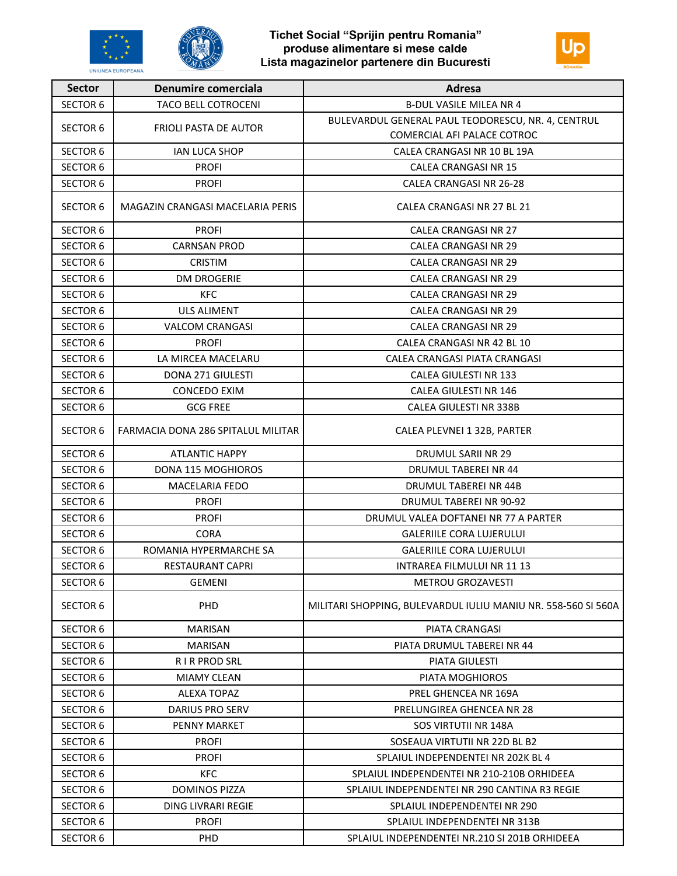





| <b>Sector</b>   | Denumire comerciala                | <b>Adresa</b>                                                 |
|-----------------|------------------------------------|---------------------------------------------------------------|
| <b>SECTOR 6</b> | <b>TACO BELL COTROCENI</b>         | <b>B-DUL VASILE MILEA NR 4</b>                                |
| <b>SECTOR 6</b> | <b>FRIOLI PASTA DE AUTOR</b>       | BULEVARDUL GENERAL PAUL TEODORESCU, NR. 4, CENTRUL            |
|                 |                                    | COMERCIAL AFI PALACE COTROC                                   |
| <b>SECTOR 6</b> | <b>IAN LUCA SHOP</b>               | CALEA CRANGASI NR 10 BL 19A                                   |
| <b>SECTOR 6</b> | <b>PROFI</b>                       | <b>CALEA CRANGASI NR 15</b>                                   |
| <b>SECTOR 6</b> | <b>PROFI</b>                       | CALEA CRANGASI NR 26-28                                       |
| <b>SECTOR 6</b> | MAGAZIN CRANGASI MACELARIA PERIS   | CALEA CRANGASI NR 27 BL 21                                    |
| <b>SECTOR 6</b> | <b>PROFI</b>                       | <b>CALEA CRANGASI NR 27</b>                                   |
| <b>SECTOR 6</b> | <b>CARNSAN PROD</b>                | <b>CALEA CRANGASI NR 29</b>                                   |
| <b>SECTOR 6</b> | <b>CRISTIM</b>                     | <b>CALEA CRANGASI NR 29</b>                                   |
| <b>SECTOR 6</b> | <b>DM DROGERIE</b>                 | <b>CALEA CRANGASI NR 29</b>                                   |
| <b>SECTOR 6</b> | <b>KFC</b>                         | <b>CALEA CRANGASI NR 29</b>                                   |
| <b>SECTOR 6</b> | <b>ULS ALIMENT</b>                 | <b>CALEA CRANGASI NR 29</b>                                   |
| <b>SECTOR 6</b> | <b>VALCOM CRANGASI</b>             | <b>CALEA CRANGASI NR 29</b>                                   |
| <b>SECTOR 6</b> | <b>PROFI</b>                       | CALEA CRANGASI NR 42 BL 10                                    |
| <b>SECTOR 6</b> | LA MIRCEA MACELARU                 | CALEA CRANGASI PIATA CRANGASI                                 |
| <b>SECTOR 6</b> | <b>DONA 271 GIULESTI</b>           | <b>CALEA GIULESTI NR 133</b>                                  |
| <b>SECTOR 6</b> | <b>CONCEDO EXIM</b>                | CALEA GIULESTI NR 146                                         |
| <b>SECTOR 6</b> | <b>GCG FREE</b>                    | CALEA GIULESTI NR 338B                                        |
| <b>SECTOR 6</b> | FARMACIA DONA 286 SPITALUL MILITAR | CALEA PLEVNEI 1 32B, PARTER                                   |
| <b>SECTOR 6</b> | <b>ATLANTIC HAPPY</b>              | <b>DRUMUL SARII NR 29</b>                                     |
| <b>SECTOR 6</b> | <b>DONA 115 MOGHIOROS</b>          | DRUMUL TABEREI NR 44                                          |
| <b>SECTOR 6</b> | <b>MACELARIA FEDO</b>              | DRUMUL TABEREI NR 44B                                         |
| <b>SECTOR 6</b> | <b>PROFI</b>                       | DRUMUL TABEREI NR 90-92                                       |
| <b>SECTOR 6</b> | <b>PROFI</b>                       | DRUMUL VALEA DOFTANEI NR 77 A PARTER                          |
| <b>SECTOR 6</b> | <b>CORA</b>                        | <b>GALERIILE CORA LUJERULUI</b>                               |
| <b>SECTOR 6</b> | ROMANIA HYPERMARCHE SA             | <b>GALERIILE CORA LUJERULUI</b>                               |
| <b>SECTOR 6</b> | <b>RESTAURANT CAPRI</b>            | INTRAREA FILMULUI NR 11 13                                    |
| <b>SECTOR 6</b> | <b>GEMENI</b>                      | <b>METROU GROZAVESTI</b>                                      |
| <b>SECTOR 6</b> | PHD                                | MILITARI SHOPPING, BULEVARDUL IULIU MANIU NR. 558-560 SI 560A |
| <b>SECTOR 6</b> | <b>MARISAN</b>                     | PIATA CRANGASI                                                |
| <b>SECTOR 6</b> | <b>MARISAN</b>                     | PIATA DRUMUL TABEREI NR 44                                    |
| <b>SECTOR 6</b> | <b>RIR PROD SRL</b>                | <b>PIATA GIULESTI</b>                                         |
| <b>SECTOR 6</b> | <b>MIAMY CLEAN</b>                 | PIATA MOGHIOROS                                               |
| <b>SECTOR 6</b> | <b>ALEXA TOPAZ</b>                 | PREL GHENCEA NR 169A                                          |
| <b>SECTOR 6</b> | DARIUS PRO SERV                    | PRELUNGIREA GHENCEA NR 28                                     |
| <b>SECTOR 6</b> | <b>PENNY MARKET</b>                | SOS VIRTUTII NR 148A                                          |
| <b>SECTOR 6</b> | <b>PROFI</b>                       | SOSEAUA VIRTUTII NR 22D BL B2                                 |
| <b>SECTOR 6</b> | <b>PROFI</b>                       | SPLAIUL INDEPENDENTEI NR 202K BL 4                            |
| <b>SECTOR 6</b> | <b>KFC</b>                         | SPLAIUL INDEPENDENTEI NR 210-210B ORHIDEEA                    |
| <b>SECTOR 6</b> | <b>DOMINOS PIZZA</b>               | SPLAIUL INDEPENDENTEI NR 290 CANTINA R3 REGIE                 |
| <b>SECTOR 6</b> | DING LIVRARI REGIE                 | SPLAIUL INDEPENDENTEI NR 290                                  |
| <b>SECTOR 6</b> | <b>PROFI</b>                       | SPLAIUL INDEPENDENTEI NR 313B                                 |
| <b>SECTOR 6</b> | PHD                                | SPLAIUL INDEPENDENTEI NR.210 SI 201B ORHIDEEA                 |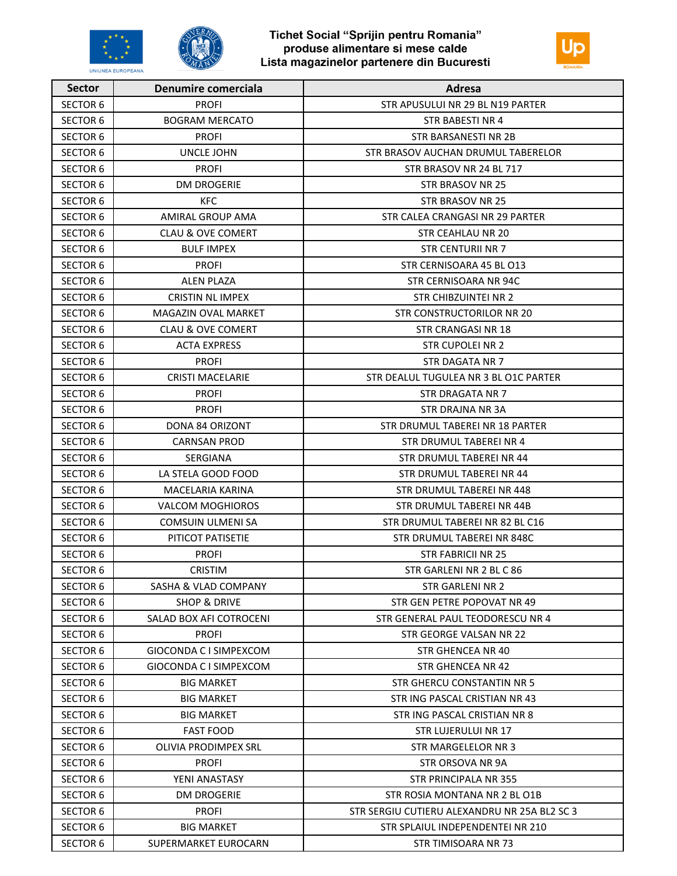



| <b>Sector</b>   | <b>Denumire comerciala</b>      | Adresa                                       |
|-----------------|---------------------------------|----------------------------------------------|
| <b>SECTOR 6</b> | <b>PROFI</b>                    | STR APUSULUI NR 29 BL N19 PARTER             |
| <b>SECTOR 6</b> | <b>BOGRAM MERCATO</b>           | <b>STR BABESTI NR 4</b>                      |
| <b>SECTOR 6</b> | <b>PROFI</b>                    | STR BARSANESTI NR 2B                         |
| <b>SECTOR 6</b> | UNCLE JOHN                      | STR BRASOV AUCHAN DRUMUL TABERELOR           |
| <b>SECTOR 6</b> | <b>PROFI</b>                    | STR BRASOV NR 24 BL 717                      |
| <b>SECTOR 6</b> | <b>DM DROGERIE</b>              | STR BRASOV NR 25                             |
| <b>SECTOR 6</b> | <b>KFC</b>                      | STR BRASOV NR 25                             |
| <b>SECTOR 6</b> | AMIRAL GROUP AMA                | STR CALEA CRANGASI NR 29 PARTER              |
| <b>SECTOR 6</b> | <b>CLAU &amp; OVE COMERT</b>    | STR CEAHLAU NR 20                            |
| <b>SECTOR 6</b> | <b>BULF IMPEX</b>               | <b>STR CENTURII NR 7</b>                     |
| <b>SECTOR 6</b> | <b>PROFI</b>                    | STR CERNISOARA 45 BL 013                     |
| <b>SECTOR 6</b> | <b>ALEN PLAZA</b>               | STR CERNISOARA NR 94C                        |
| <b>SECTOR 6</b> | <b>CRISTIN NL IMPEX</b>         | STR CHIBZUINTEI NR 2                         |
| <b>SECTOR 6</b> | MAGAZIN OVAL MARKET             | STR CONSTRUCTORILOR NR 20                    |
| <b>SECTOR 6</b> | <b>CLAU &amp; OVE COMERT</b>    | <b>STR CRANGASI NR 18</b>                    |
| <b>SECTOR 6</b> | <b>ACTA EXPRESS</b>             | STR CUPOLEI NR 2                             |
| <b>SECTOR 6</b> | <b>PROFI</b>                    | <b>STR DAGATA NR 7</b>                       |
| <b>SECTOR 6</b> | <b>CRISTI MACELARIE</b>         | STR DEALUL TUGULEA NR 3 BL O1C PARTER        |
| <b>SECTOR 6</b> | <b>PROFI</b>                    | STR DRAGATA NR 7                             |
| <b>SECTOR 6</b> | <b>PROFI</b>                    | STR DRAJNA NR 3A                             |
| <b>SECTOR 6</b> | DONA 84 ORIZONT                 | STR DRUMUL TABEREI NR 18 PARTER              |
| <b>SECTOR 6</b> | <b>CARNSAN PROD</b>             | STR DRUMUL TABEREI NR 4                      |
| <b>SECTOR 6</b> | SERGIANA                        | STR DRUMUL TABEREI NR 44                     |
| <b>SECTOR 6</b> | LA STELA GOOD FOOD              | STR DRUMUL TABEREI NR 44                     |
| <b>SECTOR 6</b> | MACELARIA KARINA                | STR DRUMUL TABEREI NR 448                    |
| <b>SECTOR 6</b> | <b>VALCOM MOGHIOROS</b>         | STR DRUMUL TABEREI NR 44B                    |
| <b>SECTOR 6</b> | COMSUIN ULMENI SA               | STR DRUMUL TABEREI NR 82 BL C16              |
| <b>SECTOR 6</b> | PITICOT PATISETIE               | STR DRUMUL TABEREI NR 848C                   |
| <b>SECTOR 6</b> | <b>PROFI</b>                    | <b>STR FABRICII NR 25</b>                    |
| <b>SECTOR 6</b> | <b>CRISTIM</b>                  | STR GARLENI NR 2 BL C 86                     |
| <b>SECTOR 6</b> | <b>SASHA &amp; VLAD COMPANY</b> | STR GARLENI NR 2                             |
| <b>SECTOR 6</b> | <b>SHOP &amp; DRIVE</b>         | STR GEN PETRE POPOVAT NR 49                  |
| <b>SECTOR 6</b> | SALAD BOX AFI COTROCENI         | STR GENERAL PAUL TEODORESCU NR 4             |
| <b>SECTOR 6</b> | <b>PROFI</b>                    | STR GEORGE VALSAN NR 22                      |
| <b>SECTOR 6</b> | GIOCONDA C I SIMPEXCOM          | STR GHENCEA NR 40                            |
| <b>SECTOR 6</b> | GIOCONDA C I SIMPEXCOM          | STR GHENCEA NR 42                            |
| <b>SECTOR 6</b> | <b>BIG MARKET</b>               | STR GHERCU CONSTANTIN NR 5                   |
| <b>SECTOR 6</b> | BIG MARKET                      | STR ING PASCAL CRISTIAN NR 43                |
| <b>SECTOR 6</b> | <b>BIG MARKET</b>               | STR ING PASCAL CRISTIAN NR 8                 |
| <b>SECTOR 6</b> | <b>FAST FOOD</b>                | STR LUJERULUI NR 17                          |
| <b>SECTOR 6</b> | <b>OLIVIA PRODIMPEX SRL</b>     | STR MARGELELOR NR 3                          |
| <b>SECTOR 6</b> | <b>PROFI</b>                    | STR ORSOVA NR 9A                             |
| <b>SECTOR 6</b> | YENI ANASTASY                   | STR PRINCIPALA NR 355                        |
| <b>SECTOR 6</b> | <b>DM DROGERIE</b>              | STR ROSIA MONTANA NR 2 BL 01B                |
| <b>SECTOR 6</b> | <b>PROFI</b>                    | STR SERGIU CUTIERU ALEXANDRU NR 25A BL2 SC 3 |
| <b>SECTOR 6</b> | <b>BIG MARKET</b>               | STR SPLAIUL INDEPENDENTEI NR 210             |
| <b>SECTOR 6</b> | SUPERMARKET EUROCARN            | STR TIMISOARA NR 73                          |